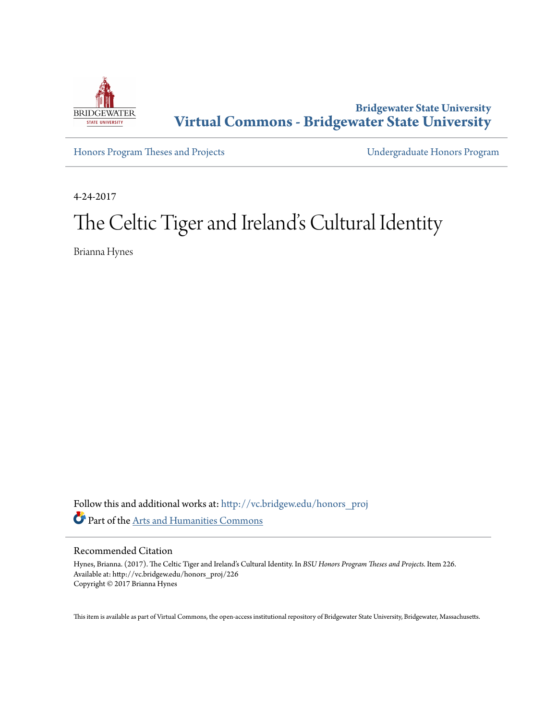

**Bridgewater State University [Virtual Commons - Bridgewater State University](http://vc.bridgew.edu?utm_source=vc.bridgew.edu%2Fhonors_proj%2F226&utm_medium=PDF&utm_campaign=PDFCoverPages)**

[Honors Program Theses and Projects](http://vc.bridgew.edu/honors_proj?utm_source=vc.bridgew.edu%2Fhonors_proj%2F226&utm_medium=PDF&utm_campaign=PDFCoverPages) [Undergraduate Honors Program](http://vc.bridgew.edu/honors?utm_source=vc.bridgew.edu%2Fhonors_proj%2F226&utm_medium=PDF&utm_campaign=PDFCoverPages)

4-24-2017

# The Celtic Tiger and Ireland's Cultural Identity

Brianna Hynes

Follow this and additional works at: [http://vc.bridgew.edu/honors\\_proj](http://vc.bridgew.edu/honors_proj?utm_source=vc.bridgew.edu%2Fhonors_proj%2F226&utm_medium=PDF&utm_campaign=PDFCoverPages) Part of the [Arts and Humanities Commons](http://network.bepress.com/hgg/discipline/438?utm_source=vc.bridgew.edu%2Fhonors_proj%2F226&utm_medium=PDF&utm_campaign=PDFCoverPages)

### Recommended Citation

Hynes, Brianna. (2017). The Celtic Tiger and Ireland's Cultural Identity. In *BSU Honors Program Theses and Projects.* Item 226. Available at: http://vc.bridgew.edu/honors\_proj/226 Copyright © 2017 Brianna Hynes

This item is available as part of Virtual Commons, the open-access institutional repository of Bridgewater State University, Bridgewater, Massachusetts.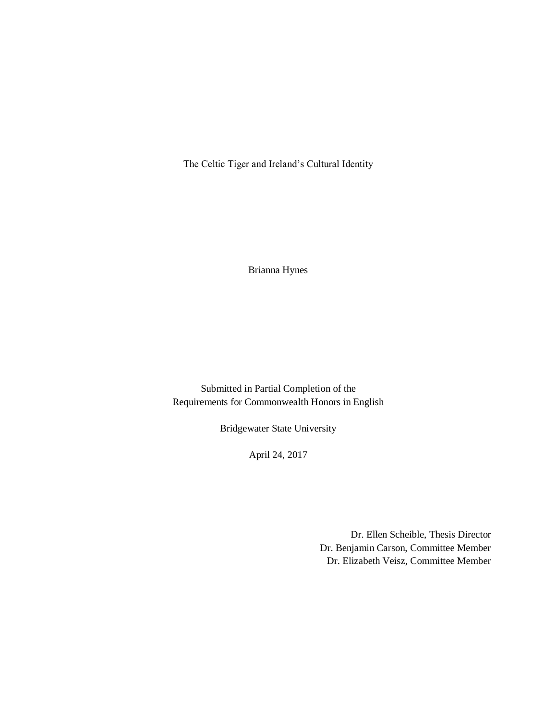The Celtic Tiger and Ireland's Cultural Identity

Brianna Hynes

Submitted in Partial Completion of the Requirements for Commonwealth Honors in English

Bridgewater State University

April 24, 2017

Dr. Ellen Scheible, Thesis Director Dr. Benjamin Carson, Committee Member Dr. Elizabeth Veisz, Committee Member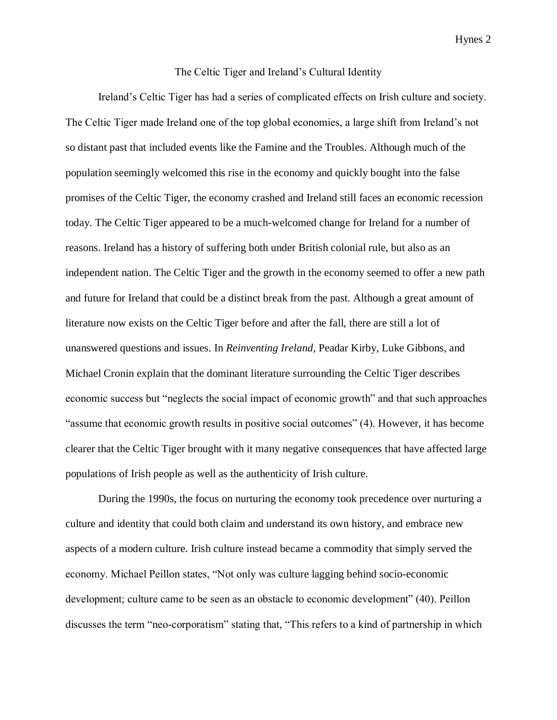## The Celtic Tiger and Ireland's Cultural Identity

Ireland's Celtic Tiger has had a series of complicated effects on Irish culture and society. The Celtic Tiger made Ireland one of the top global economies, a large shift from Ireland's not so distant past that included events like the Famine and the Troubles. Although much of the population seemingly welcomed this rise in the economy and quickly bought into the false promises of the Celtic Tiger, the economy crashed and Ireland still faces an economic recession today. The Celtic Tiger appeared to be a much-welcomed change for Ireland for a number of reasons. Ireland has a history of suffering both under British colonial rule, but also as an independent nation. The Celtic Tiger and the growth in the economy seemed to offer a new path and future for Ireland that could be a distinct break from the past. Although a great amount of literature now exists on the Celtic Tiger before and after the fall, there are still a lot of unanswered questions and issues. In *Reinventing Ireland,* Peadar Kirby, Luke Gibbons, and Michael Cronin explain that the dominant literature surrounding the Celtic Tiger describes economic success but "neglects the social impact of economic growth" and that such approaches "assume that economic growth results in positive social outcomes" (4). However, it has become clearer that the Celtic Tiger brought with it many negative consequences that have affected large populations of Irish people as well as the authenticity of Irish culture.

During the 1990s, the focus on nurturing the economy took precedence over nurturing a culture and identity that could both claim and understand its own history, and embrace new aspects of a modern culture. Irish culture instead became a commodity that simply served the economy. Michael Peillon states, "Not only was culture lagging behind socio-economic development; culture came to be seen as an obstacle to economic development" (40). Peillon discusses the term "neo-corporatism" stating that, "This refers to a kind of partnership in which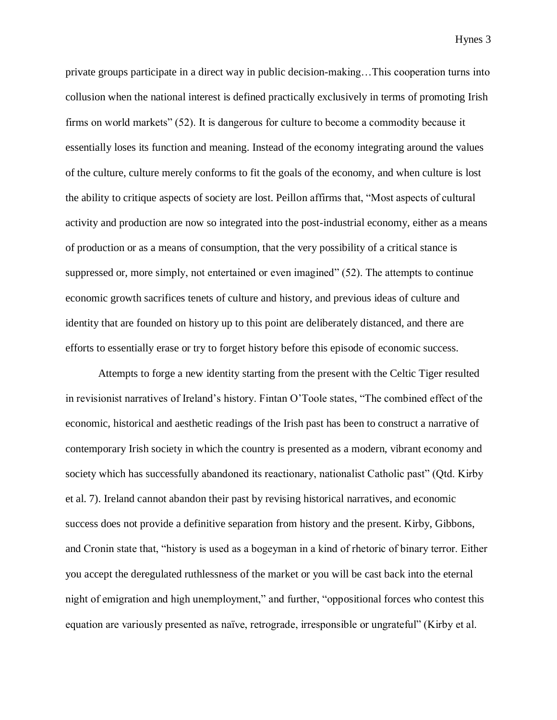private groups participate in a direct way in public decision-making…This cooperation turns into collusion when the national interest is defined practically exclusively in terms of promoting Irish firms on world markets" (52). It is dangerous for culture to become a commodity because it essentially loses its function and meaning. Instead of the economy integrating around the values of the culture, culture merely conforms to fit the goals of the economy, and when culture is lost the ability to critique aspects of society are lost. Peillon affirms that, "Most aspects of cultural activity and production are now so integrated into the post-industrial economy, either as a means of production or as a means of consumption, that the very possibility of a critical stance is suppressed or, more simply, not entertained or even imagined" (52). The attempts to continue economic growth sacrifices tenets of culture and history, and previous ideas of culture and identity that are founded on history up to this point are deliberately distanced, and there are efforts to essentially erase or try to forget history before this episode of economic success.

Attempts to forge a new identity starting from the present with the Celtic Tiger resulted in revisionist narratives of Ireland's history. Fintan O'Toole states, "The combined effect of the economic, historical and aesthetic readings of the Irish past has been to construct a narrative of contemporary Irish society in which the country is presented as a modern, vibrant economy and society which has successfully abandoned its reactionary, nationalist Catholic past" (Qtd. Kirby et al. 7). Ireland cannot abandon their past by revising historical narratives, and economic success does not provide a definitive separation from history and the present. Kirby, Gibbons, and Cronin state that, "history is used as a bogeyman in a kind of rhetoric of binary terror. Either you accept the deregulated ruthlessness of the market or you will be cast back into the eternal night of emigration and high unemployment," and further, "oppositional forces who contest this equation are variously presented as naïve, retrograde, irresponsible or ungrateful" (Kirby et al.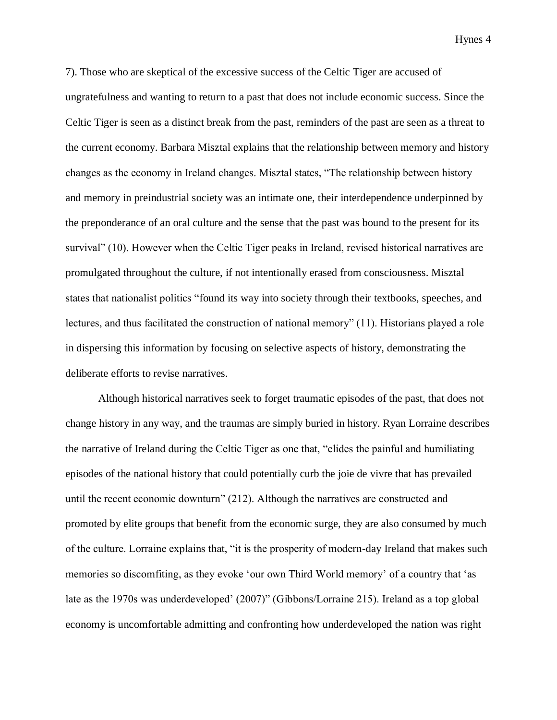7). Those who are skeptical of the excessive success of the Celtic Tiger are accused of ungratefulness and wanting to return to a past that does not include economic success. Since the Celtic Tiger is seen as a distinct break from the past, reminders of the past are seen as a threat to the current economy. Barbara Misztal explains that the relationship between memory and history changes as the economy in Ireland changes. Misztal states, "The relationship between history and memory in preindustrial society was an intimate one, their interdependence underpinned by the preponderance of an oral culture and the sense that the past was bound to the present for its survival" (10). However when the Celtic Tiger peaks in Ireland, revised historical narratives are promulgated throughout the culture, if not intentionally erased from consciousness. Misztal states that nationalist politics "found its way into society through their textbooks, speeches, and lectures, and thus facilitated the construction of national memory" (11). Historians played a role in dispersing this information by focusing on selective aspects of history, demonstrating the deliberate efforts to revise narratives.

Although historical narratives seek to forget traumatic episodes of the past, that does not change history in any way, and the traumas are simply buried in history. Ryan Lorraine describes the narrative of Ireland during the Celtic Tiger as one that, "elides the painful and humiliating episodes of the national history that could potentially curb the joie de vivre that has prevailed until the recent economic downturn" (212). Although the narratives are constructed and promoted by elite groups that benefit from the economic surge, they are also consumed by much of the culture. Lorraine explains that, "it is the prosperity of modern-day Ireland that makes such memories so discomfiting, as they evoke 'our own Third World memory' of a country that 'as late as the 1970s was underdeveloped' (2007)" (Gibbons/Lorraine 215). Ireland as a top global economy is uncomfortable admitting and confronting how underdeveloped the nation was right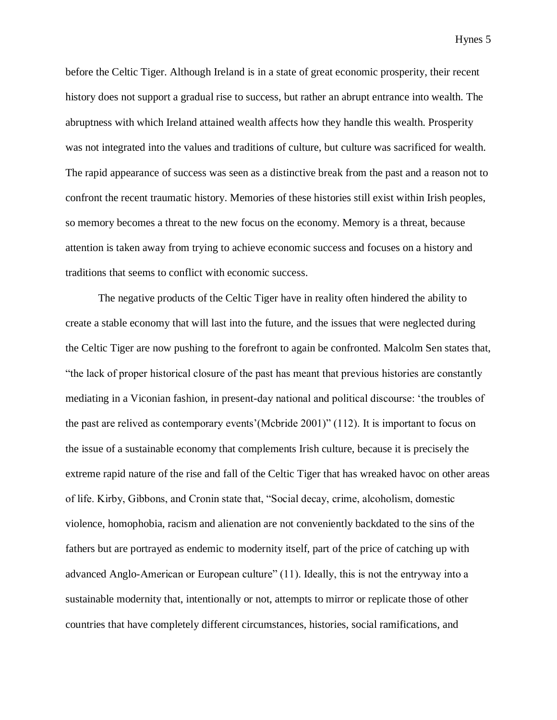before the Celtic Tiger. Although Ireland is in a state of great economic prosperity, their recent history does not support a gradual rise to success, but rather an abrupt entrance into wealth. The abruptness with which Ireland attained wealth affects how they handle this wealth. Prosperity was not integrated into the values and traditions of culture, but culture was sacrificed for wealth. The rapid appearance of success was seen as a distinctive break from the past and a reason not to confront the recent traumatic history. Memories of these histories still exist within Irish peoples, so memory becomes a threat to the new focus on the economy. Memory is a threat, because attention is taken away from trying to achieve economic success and focuses on a history and traditions that seems to conflict with economic success.

The negative products of the Celtic Tiger have in reality often hindered the ability to create a stable economy that will last into the future, and the issues that were neglected during the Celtic Tiger are now pushing to the forefront to again be confronted. Malcolm Sen states that, "the lack of proper historical closure of the past has meant that previous histories are constantly mediating in a Viconian fashion, in present-day national and political discourse: 'the troubles of the past are relived as contemporary events'(Mcbride 2001)" (112). It is important to focus on the issue of a sustainable economy that complements Irish culture, because it is precisely the extreme rapid nature of the rise and fall of the Celtic Tiger that has wreaked havoc on other areas of life. Kirby, Gibbons, and Cronin state that, "Social decay, crime, alcoholism, domestic violence, homophobia, racism and alienation are not conveniently backdated to the sins of the fathers but are portrayed as endemic to modernity itself, part of the price of catching up with advanced Anglo-American or European culture" (11). Ideally, this is not the entryway into a sustainable modernity that, intentionally or not, attempts to mirror or replicate those of other countries that have completely different circumstances, histories, social ramifications, and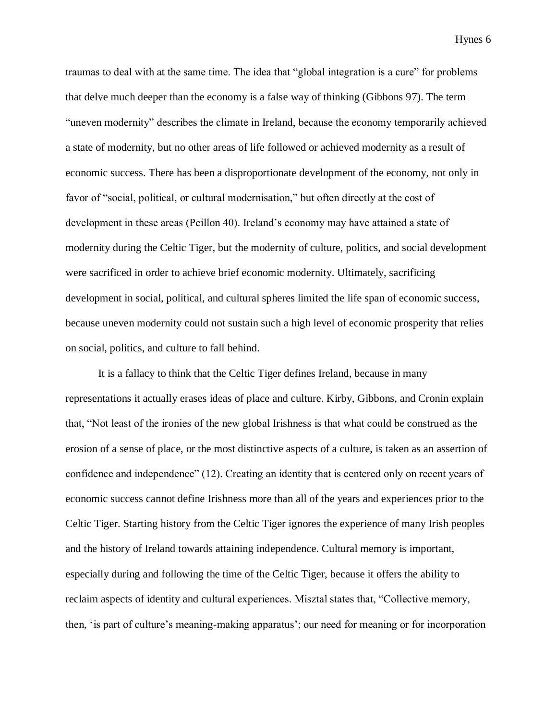traumas to deal with at the same time. The idea that "global integration is a cure" for problems that delve much deeper than the economy is a false way of thinking (Gibbons 97). The term "uneven modernity" describes the climate in Ireland, because the economy temporarily achieved a state of modernity, but no other areas of life followed or achieved modernity as a result of economic success. There has been a disproportionate development of the economy, not only in favor of "social, political, or cultural modernisation," but often directly at the cost of development in these areas (Peillon 40). Ireland's economy may have attained a state of modernity during the Celtic Tiger, but the modernity of culture, politics, and social development were sacrificed in order to achieve brief economic modernity. Ultimately, sacrificing development in social, political, and cultural spheres limited the life span of economic success, because uneven modernity could not sustain such a high level of economic prosperity that relies on social, politics, and culture to fall behind.

It is a fallacy to think that the Celtic Tiger defines Ireland, because in many representations it actually erases ideas of place and culture. Kirby, Gibbons, and Cronin explain that, "Not least of the ironies of the new global Irishness is that what could be construed as the erosion of a sense of place, or the most distinctive aspects of a culture, is taken as an assertion of confidence and independence" (12). Creating an identity that is centered only on recent years of economic success cannot define Irishness more than all of the years and experiences prior to the Celtic Tiger. Starting history from the Celtic Tiger ignores the experience of many Irish peoples and the history of Ireland towards attaining independence. Cultural memory is important, especially during and following the time of the Celtic Tiger, because it offers the ability to reclaim aspects of identity and cultural experiences. Misztal states that, "Collective memory, then, 'is part of culture's meaning-making apparatus'; our need for meaning or for incorporation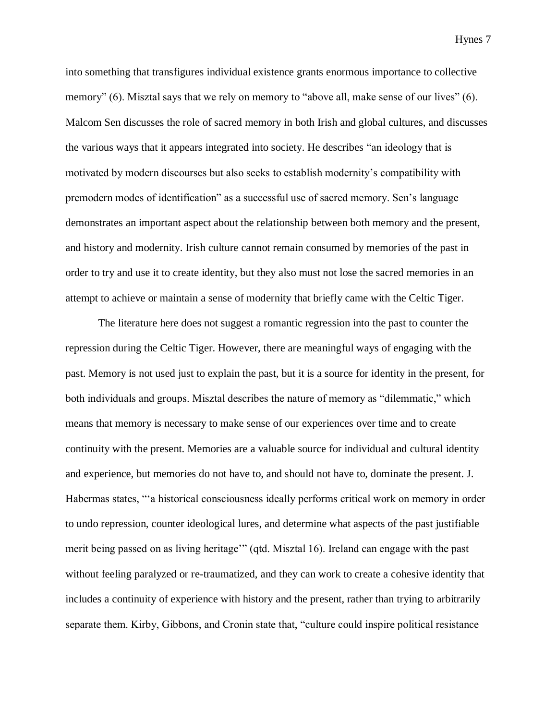into something that transfigures individual existence grants enormous importance to collective memory" (6). Misztal says that we rely on memory to "above all, make sense of our lives" (6). Malcom Sen discusses the role of sacred memory in both Irish and global cultures, and discusses the various ways that it appears integrated into society. He describes "an ideology that is motivated by modern discourses but also seeks to establish modernity's compatibility with premodern modes of identification" as a successful use of sacred memory. Sen's language demonstrates an important aspect about the relationship between both memory and the present, and history and modernity. Irish culture cannot remain consumed by memories of the past in order to try and use it to create identity, but they also must not lose the sacred memories in an attempt to achieve or maintain a sense of modernity that briefly came with the Celtic Tiger.

The literature here does not suggest a romantic regression into the past to counter the repression during the Celtic Tiger. However, there are meaningful ways of engaging with the past. Memory is not used just to explain the past, but it is a source for identity in the present, for both individuals and groups. Misztal describes the nature of memory as "dilemmatic," which means that memory is necessary to make sense of our experiences over time and to create continuity with the present. Memories are a valuable source for individual and cultural identity and experience, but memories do not have to, and should not have to, dominate the present. J. Habermas states, "'a historical consciousness ideally performs critical work on memory in order to undo repression, counter ideological lures, and determine what aspects of the past justifiable merit being passed on as living heritage'" (qtd. Misztal 16). Ireland can engage with the past without feeling paralyzed or re-traumatized, and they can work to create a cohesive identity that includes a continuity of experience with history and the present, rather than trying to arbitrarily separate them. Kirby, Gibbons, and Cronin state that, "culture could inspire political resistance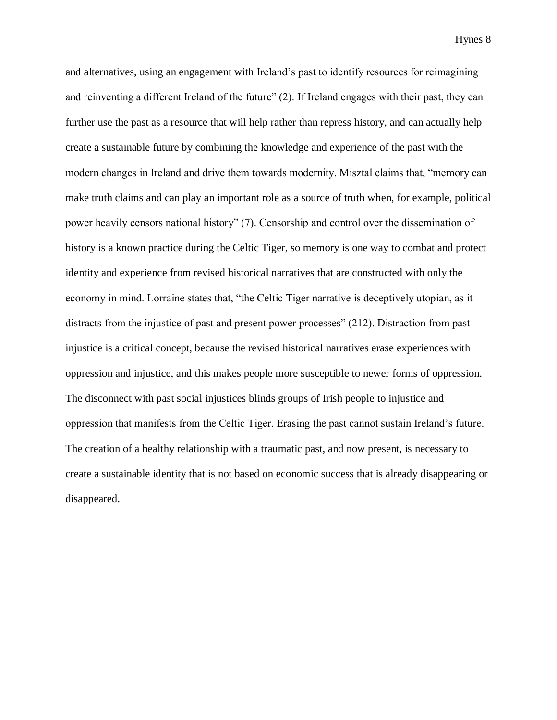and alternatives, using an engagement with Ireland's past to identify resources for reimagining and reinventing a different Ireland of the future" (2). If Ireland engages with their past, they can further use the past as a resource that will help rather than repress history, and can actually help create a sustainable future by combining the knowledge and experience of the past with the modern changes in Ireland and drive them towards modernity. Misztal claims that, "memory can make truth claims and can play an important role as a source of truth when, for example, political power heavily censors national history" (7). Censorship and control over the dissemination of history is a known practice during the Celtic Tiger, so memory is one way to combat and protect identity and experience from revised historical narratives that are constructed with only the economy in mind. Lorraine states that, "the Celtic Tiger narrative is deceptively utopian, as it distracts from the injustice of past and present power processes" (212). Distraction from past injustice is a critical concept, because the revised historical narratives erase experiences with oppression and injustice, and this makes people more susceptible to newer forms of oppression. The disconnect with past social injustices blinds groups of Irish people to injustice and oppression that manifests from the Celtic Tiger. Erasing the past cannot sustain Ireland's future. The creation of a healthy relationship with a traumatic past, and now present, is necessary to create a sustainable identity that is not based on economic success that is already disappearing or disappeared.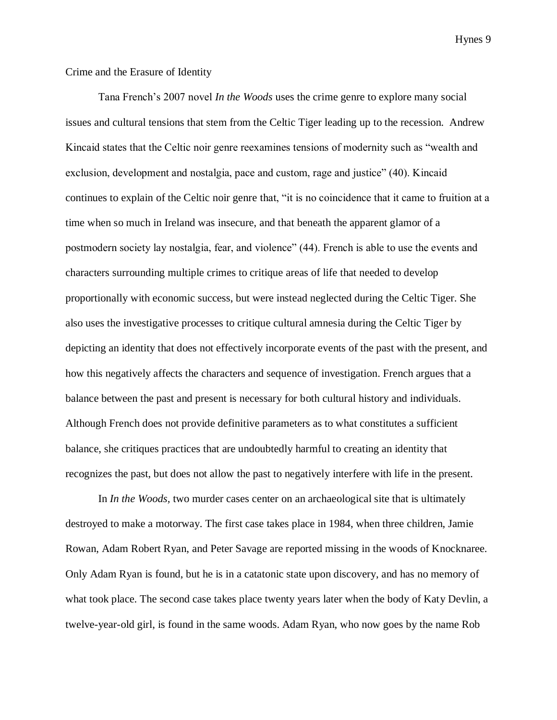## Crime and the Erasure of Identity

Tana French's 2007 novel *In the Woods* uses the crime genre to explore many social issues and cultural tensions that stem from the Celtic Tiger leading up to the recession. Andrew Kincaid states that the Celtic noir genre reexamines tensions of modernity such as "wealth and exclusion, development and nostalgia, pace and custom, rage and justice" (40). Kincaid continues to explain of the Celtic noir genre that, "it is no coincidence that it came to fruition at a time when so much in Ireland was insecure, and that beneath the apparent glamor of a postmodern society lay nostalgia, fear, and violence" (44). French is able to use the events and characters surrounding multiple crimes to critique areas of life that needed to develop proportionally with economic success, but were instead neglected during the Celtic Tiger. She also uses the investigative processes to critique cultural amnesia during the Celtic Tiger by depicting an identity that does not effectively incorporate events of the past with the present, and how this negatively affects the characters and sequence of investigation. French argues that a balance between the past and present is necessary for both cultural history and individuals. Although French does not provide definitive parameters as to what constitutes a sufficient balance, she critiques practices that are undoubtedly harmful to creating an identity that recognizes the past, but does not allow the past to negatively interfere with life in the present.

In *In the Woods,* two murder cases center on an archaeological site that is ultimately destroyed to make a motorway. The first case takes place in 1984, when three children, Jamie Rowan, Adam Robert Ryan, and Peter Savage are reported missing in the woods of Knocknaree. Only Adam Ryan is found, but he is in a catatonic state upon discovery, and has no memory of what took place. The second case takes place twenty years later when the body of Katy Devlin, a twelve-year-old girl, is found in the same woods. Adam Ryan, who now goes by the name Rob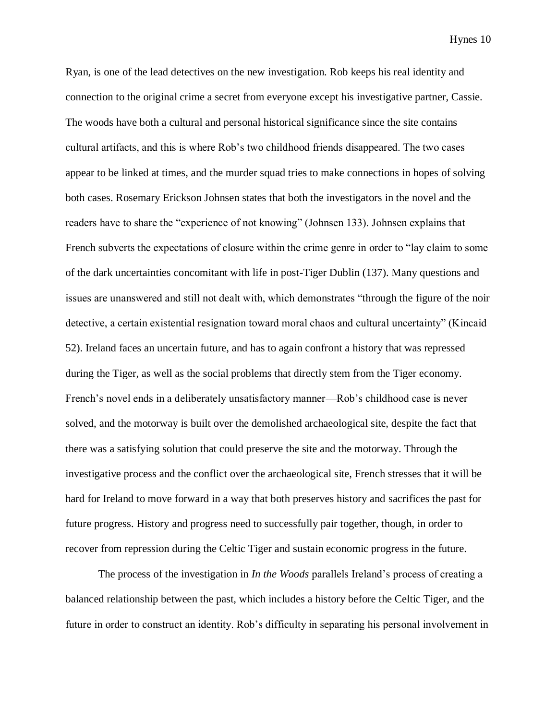Ryan, is one of the lead detectives on the new investigation. Rob keeps his real identity and connection to the original crime a secret from everyone except his investigative partner, Cassie. The woods have both a cultural and personal historical significance since the site contains cultural artifacts, and this is where Rob's two childhood friends disappeared. The two cases appear to be linked at times, and the murder squad tries to make connections in hopes of solving both cases. Rosemary Erickson Johnsen states that both the investigators in the novel and the readers have to share the "experience of not knowing" (Johnsen 133). Johnsen explains that French subverts the expectations of closure within the crime genre in order to "lay claim to some of the dark uncertainties concomitant with life in post-Tiger Dublin (137). Many questions and issues are unanswered and still not dealt with, which demonstrates "through the figure of the noir detective, a certain existential resignation toward moral chaos and cultural uncertainty" (Kincaid 52). Ireland faces an uncertain future, and has to again confront a history that was repressed during the Tiger, as well as the social problems that directly stem from the Tiger economy. French's novel ends in a deliberately unsatisfactory manner—Rob's childhood case is never solved, and the motorway is built over the demolished archaeological site, despite the fact that there was a satisfying solution that could preserve the site and the motorway. Through the investigative process and the conflict over the archaeological site, French stresses that it will be hard for Ireland to move forward in a way that both preserves history and sacrifices the past for future progress. History and progress need to successfully pair together, though, in order to recover from repression during the Celtic Tiger and sustain economic progress in the future.

The process of the investigation in *In the Woods* parallels Ireland's process of creating a balanced relationship between the past, which includes a history before the Celtic Tiger, and the future in order to construct an identity. Rob's difficulty in separating his personal involvement in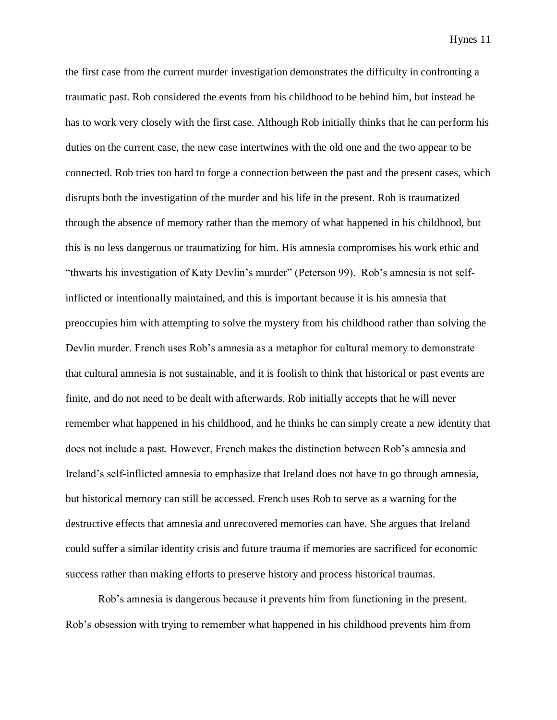the first case from the current murder investigation demonstrates the difficulty in confronting a traumatic past. Rob considered the events from his childhood to be behind him, but instead he has to work very closely with the first case. Although Rob initially thinks that he can perform his duties on the current case, the new case intertwines with the old one and the two appear to be connected. Rob tries too hard to forge a connection between the past and the present cases, which disrupts both the investigation of the murder and his life in the present. Rob is traumatized through the absence of memory rather than the memory of what happened in his childhood, but this is no less dangerous or traumatizing for him. His amnesia compromises his work ethic and "thwarts his investigation of Katy Devlin's murder" (Peterson 99). Rob's amnesia is not selfinflicted or intentionally maintained, and this is important because it is his amnesia that preoccupies him with attempting to solve the mystery from his childhood rather than solving the Devlin murder. French uses Rob's amnesia as a metaphor for cultural memory to demonstrate that cultural amnesia is not sustainable, and it is foolish to think that historical or past events are finite, and do not need to be dealt with afterwards. Rob initially accepts that he will never remember what happened in his childhood, and he thinks he can simply create a new identity that does not include a past. However, French makes the distinction between Rob's amnesia and Ireland's self-inflicted amnesia to emphasize that Ireland does not have to go through amnesia, but historical memory can still be accessed. French uses Rob to serve as a warning for the destructive effects that amnesia and unrecovered memories can have. She argues that Ireland could suffer a similar identity crisis and future trauma if memories are sacrificed for economic success rather than making efforts to preserve history and process historical traumas.

Rob's amnesia is dangerous because it prevents him from functioning in the present. Rob's obsession with trying to remember what happened in his childhood prevents him from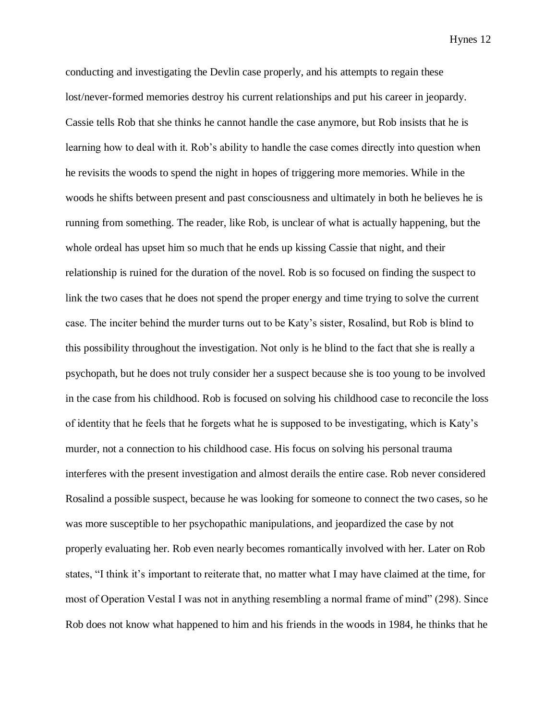conducting and investigating the Devlin case properly, and his attempts to regain these lost/never-formed memories destroy his current relationships and put his career in jeopardy. Cassie tells Rob that she thinks he cannot handle the case anymore, but Rob insists that he is learning how to deal with it. Rob's ability to handle the case comes directly into question when he revisits the woods to spend the night in hopes of triggering more memories. While in the woods he shifts between present and past consciousness and ultimately in both he believes he is running from something. The reader, like Rob, is unclear of what is actually happening, but the whole ordeal has upset him so much that he ends up kissing Cassie that night, and their relationship is ruined for the duration of the novel. Rob is so focused on finding the suspect to link the two cases that he does not spend the proper energy and time trying to solve the current case. The inciter behind the murder turns out to be Katy's sister, Rosalind, but Rob is blind to this possibility throughout the investigation. Not only is he blind to the fact that she is really a psychopath, but he does not truly consider her a suspect because she is too young to be involved in the case from his childhood. Rob is focused on solving his childhood case to reconcile the loss of identity that he feels that he forgets what he is supposed to be investigating, which is Katy's murder, not a connection to his childhood case. His focus on solving his personal trauma interferes with the present investigation and almost derails the entire case. Rob never considered Rosalind a possible suspect, because he was looking for someone to connect the two cases, so he was more susceptible to her psychopathic manipulations, and jeopardized the case by not properly evaluating her. Rob even nearly becomes romantically involved with her. Later on Rob states, "I think it's important to reiterate that, no matter what I may have claimed at the time, for most of Operation Vestal I was not in anything resembling a normal frame of mind" (298). Since Rob does not know what happened to him and his friends in the woods in 1984, he thinks that he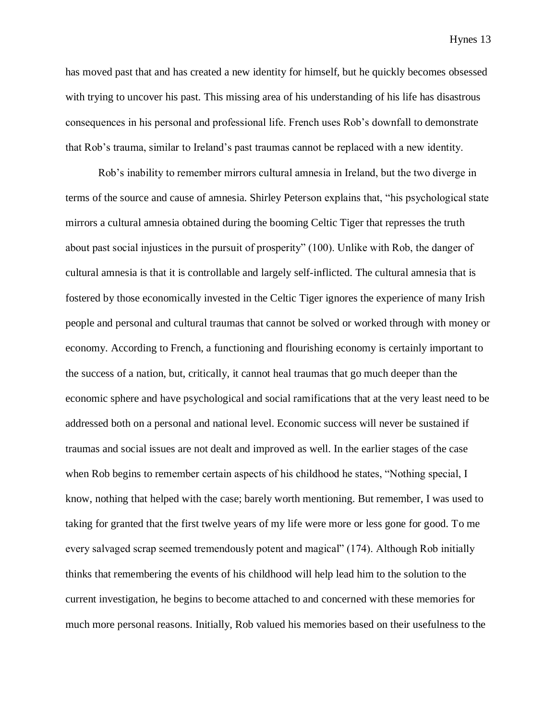has moved past that and has created a new identity for himself, but he quickly becomes obsessed with trying to uncover his past. This missing area of his understanding of his life has disastrous consequences in his personal and professional life. French uses Rob's downfall to demonstrate that Rob's trauma, similar to Ireland's past traumas cannot be replaced with a new identity.

Rob's inability to remember mirrors cultural amnesia in Ireland, but the two diverge in terms of the source and cause of amnesia. Shirley Peterson explains that, "his psychological state mirrors a cultural amnesia obtained during the booming Celtic Tiger that represses the truth about past social injustices in the pursuit of prosperity" (100). Unlike with Rob, the danger of cultural amnesia is that it is controllable and largely self-inflicted. The cultural amnesia that is fostered by those economically invested in the Celtic Tiger ignores the experience of many Irish people and personal and cultural traumas that cannot be solved or worked through with money or economy. According to French, a functioning and flourishing economy is certainly important to the success of a nation, but, critically, it cannot heal traumas that go much deeper than the economic sphere and have psychological and social ramifications that at the very least need to be addressed both on a personal and national level. Economic success will never be sustained if traumas and social issues are not dealt and improved as well. In the earlier stages of the case when Rob begins to remember certain aspects of his childhood he states, "Nothing special, I know, nothing that helped with the case; barely worth mentioning. But remember, I was used to taking for granted that the first twelve years of my life were more or less gone for good. To me every salvaged scrap seemed tremendously potent and magical" (174). Although Rob initially thinks that remembering the events of his childhood will help lead him to the solution to the current investigation, he begins to become attached to and concerned with these memories for much more personal reasons. Initially, Rob valued his memories based on their usefulness to the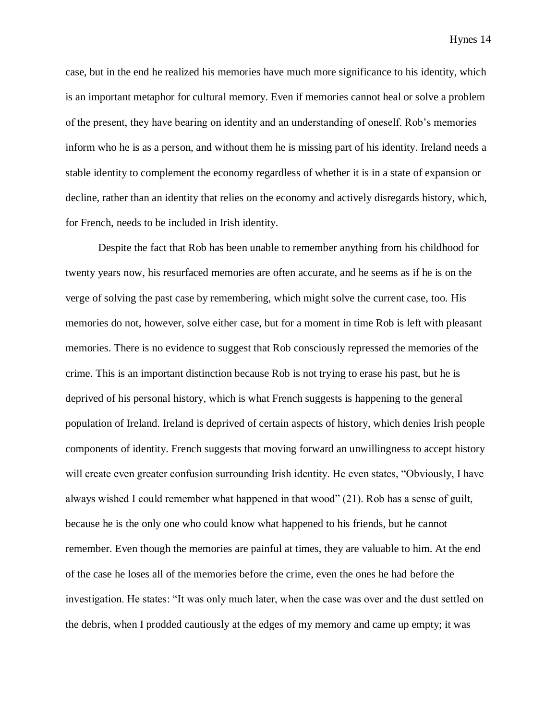case, but in the end he realized his memories have much more significance to his identity, which is an important metaphor for cultural memory. Even if memories cannot heal or solve a problem of the present, they have bearing on identity and an understanding of oneself. Rob's memories inform who he is as a person, and without them he is missing part of his identity. Ireland needs a stable identity to complement the economy regardless of whether it is in a state of expansion or decline, rather than an identity that relies on the economy and actively disregards history, which, for French, needs to be included in Irish identity.

Despite the fact that Rob has been unable to remember anything from his childhood for twenty years now, his resurfaced memories are often accurate, and he seems as if he is on the verge of solving the past case by remembering, which might solve the current case, too. His memories do not, however, solve either case, but for a moment in time Rob is left with pleasant memories. There is no evidence to suggest that Rob consciously repressed the memories of the crime. This is an important distinction because Rob is not trying to erase his past, but he is deprived of his personal history, which is what French suggests is happening to the general population of Ireland. Ireland is deprived of certain aspects of history, which denies Irish people components of identity. French suggests that moving forward an unwillingness to accept history will create even greater confusion surrounding Irish identity. He even states, "Obviously, I have always wished I could remember what happened in that wood" (21). Rob has a sense of guilt, because he is the only one who could know what happened to his friends, but he cannot remember. Even though the memories are painful at times, they are valuable to him. At the end of the case he loses all of the memories before the crime, even the ones he had before the investigation. He states: "It was only much later, when the case was over and the dust settled on the debris, when I prodded cautiously at the edges of my memory and came up empty; it was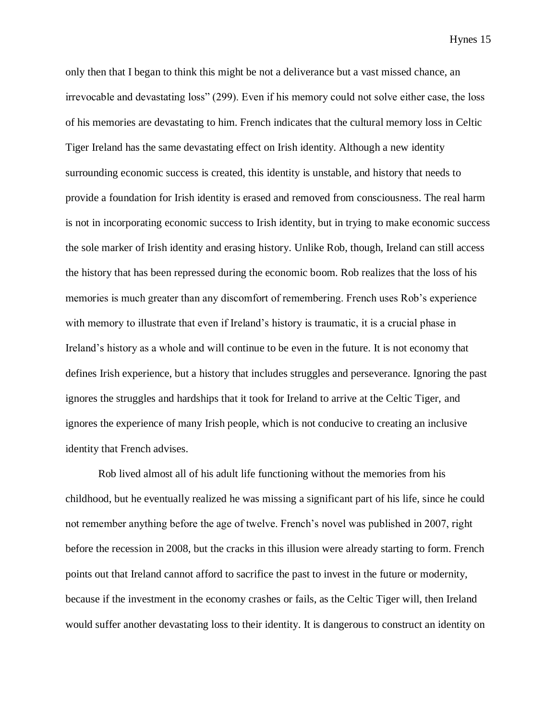only then that I began to think this might be not a deliverance but a vast missed chance, an irrevocable and devastating loss" (299). Even if his memory could not solve either case, the loss of his memories are devastating to him. French indicates that the cultural memory loss in Celtic Tiger Ireland has the same devastating effect on Irish identity. Although a new identity surrounding economic success is created, this identity is unstable, and history that needs to provide a foundation for Irish identity is erased and removed from consciousness. The real harm is not in incorporating economic success to Irish identity, but in trying to make economic success the sole marker of Irish identity and erasing history. Unlike Rob, though, Ireland can still access the history that has been repressed during the economic boom. Rob realizes that the loss of his memories is much greater than any discomfort of remembering. French uses Rob's experience with memory to illustrate that even if Ireland's history is traumatic, it is a crucial phase in Ireland's history as a whole and will continue to be even in the future. It is not economy that defines Irish experience, but a history that includes struggles and perseverance. Ignoring the past ignores the struggles and hardships that it took for Ireland to arrive at the Celtic Tiger, and ignores the experience of many Irish people, which is not conducive to creating an inclusive identity that French advises.

Rob lived almost all of his adult life functioning without the memories from his childhood, but he eventually realized he was missing a significant part of his life, since he could not remember anything before the age of twelve. French's novel was published in 2007, right before the recession in 2008, but the cracks in this illusion were already starting to form. French points out that Ireland cannot afford to sacrifice the past to invest in the future or modernity, because if the investment in the economy crashes or fails, as the Celtic Tiger will, then Ireland would suffer another devastating loss to their identity. It is dangerous to construct an identity on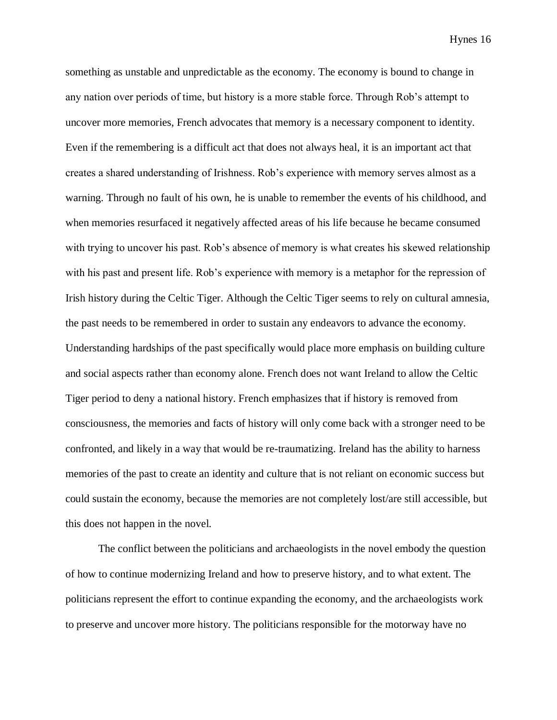something as unstable and unpredictable as the economy. The economy is bound to change in any nation over periods of time, but history is a more stable force. Through Rob's attempt to uncover more memories, French advocates that memory is a necessary component to identity. Even if the remembering is a difficult act that does not always heal, it is an important act that creates a shared understanding of Irishness. Rob's experience with memory serves almost as a warning. Through no fault of his own, he is unable to remember the events of his childhood, and when memories resurfaced it negatively affected areas of his life because he became consumed with trying to uncover his past. Rob's absence of memory is what creates his skewed relationship with his past and present life. Rob's experience with memory is a metaphor for the repression of Irish history during the Celtic Tiger. Although the Celtic Tiger seems to rely on cultural amnesia, the past needs to be remembered in order to sustain any endeavors to advance the economy. Understanding hardships of the past specifically would place more emphasis on building culture and social aspects rather than economy alone. French does not want Ireland to allow the Celtic Tiger period to deny a national history. French emphasizes that if history is removed from consciousness, the memories and facts of history will only come back with a stronger need to be confronted, and likely in a way that would be re-traumatizing. Ireland has the ability to harness memories of the past to create an identity and culture that is not reliant on economic success but could sustain the economy, because the memories are not completely lost/are still accessible, but this does not happen in the novel.

The conflict between the politicians and archaeologists in the novel embody the question of how to continue modernizing Ireland and how to preserve history, and to what extent. The politicians represent the effort to continue expanding the economy, and the archaeologists work to preserve and uncover more history. The politicians responsible for the motorway have no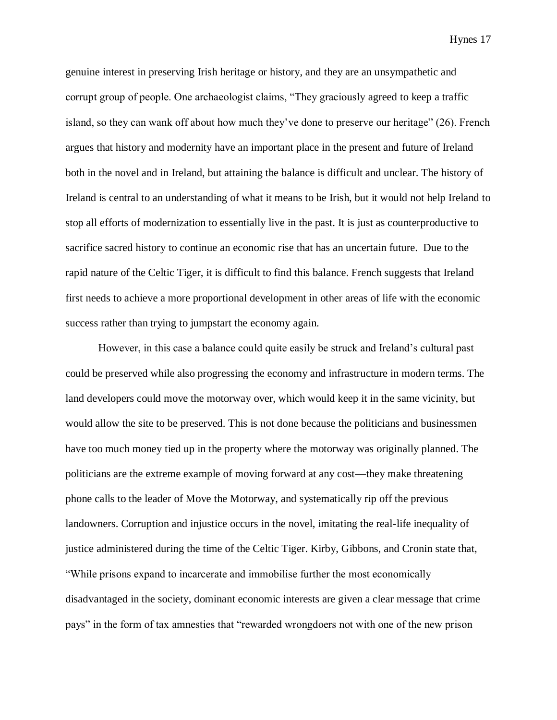genuine interest in preserving Irish heritage or history, and they are an unsympathetic and corrupt group of people. One archaeologist claims, "They graciously agreed to keep a traffic island, so they can wank off about how much they've done to preserve our heritage" (26). French argues that history and modernity have an important place in the present and future of Ireland both in the novel and in Ireland, but attaining the balance is difficult and unclear. The history of Ireland is central to an understanding of what it means to be Irish, but it would not help Ireland to stop all efforts of modernization to essentially live in the past. It is just as counterproductive to sacrifice sacred history to continue an economic rise that has an uncertain future. Due to the rapid nature of the Celtic Tiger, it is difficult to find this balance. French suggests that Ireland first needs to achieve a more proportional development in other areas of life with the economic success rather than trying to jumpstart the economy again.

However, in this case a balance could quite easily be struck and Ireland's cultural past could be preserved while also progressing the economy and infrastructure in modern terms. The land developers could move the motorway over, which would keep it in the same vicinity, but would allow the site to be preserved. This is not done because the politicians and businessmen have too much money tied up in the property where the motorway was originally planned. The politicians are the extreme example of moving forward at any cost—they make threatening phone calls to the leader of Move the Motorway, and systematically rip off the previous landowners. Corruption and injustice occurs in the novel, imitating the real-life inequality of justice administered during the time of the Celtic Tiger. Kirby, Gibbons, and Cronin state that, "While prisons expand to incarcerate and immobilise further the most economically disadvantaged in the society, dominant economic interests are given a clear message that crime pays" in the form of tax amnesties that "rewarded wrongdoers not with one of the new prison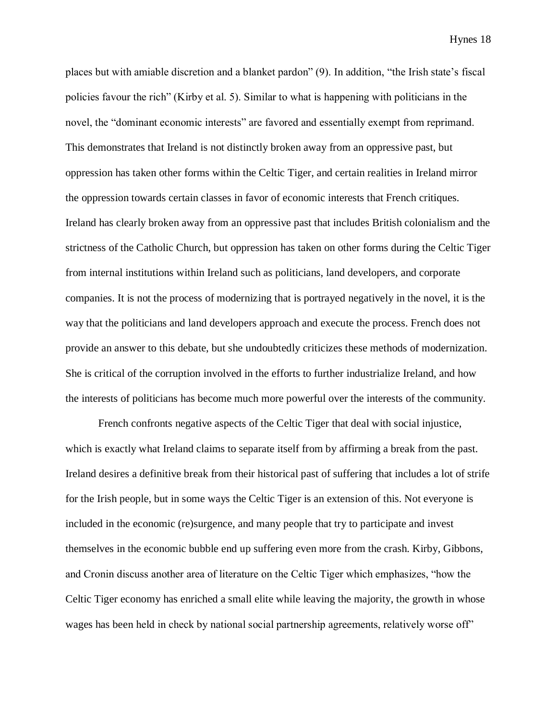places but with amiable discretion and a blanket pardon" (9). In addition, "the Irish state's fiscal policies favour the rich" (Kirby et al. 5). Similar to what is happening with politicians in the novel, the "dominant economic interests" are favored and essentially exempt from reprimand. This demonstrates that Ireland is not distinctly broken away from an oppressive past, but oppression has taken other forms within the Celtic Tiger, and certain realities in Ireland mirror the oppression towards certain classes in favor of economic interests that French critiques. Ireland has clearly broken away from an oppressive past that includes British colonialism and the strictness of the Catholic Church, but oppression has taken on other forms during the Celtic Tiger from internal institutions within Ireland such as politicians, land developers, and corporate companies. It is not the process of modernizing that is portrayed negatively in the novel, it is the way that the politicians and land developers approach and execute the process. French does not provide an answer to this debate, but she undoubtedly criticizes these methods of modernization. She is critical of the corruption involved in the efforts to further industrialize Ireland, and how the interests of politicians has become much more powerful over the interests of the community.

French confronts negative aspects of the Celtic Tiger that deal with social injustice, which is exactly what Ireland claims to separate itself from by affirming a break from the past. Ireland desires a definitive break from their historical past of suffering that includes a lot of strife for the Irish people, but in some ways the Celtic Tiger is an extension of this. Not everyone is included in the economic (re)surgence, and many people that try to participate and invest themselves in the economic bubble end up suffering even more from the crash. Kirby, Gibbons, and Cronin discuss another area of literature on the Celtic Tiger which emphasizes, "how the Celtic Tiger economy has enriched a small elite while leaving the majority, the growth in whose wages has been held in check by national social partnership agreements, relatively worse off"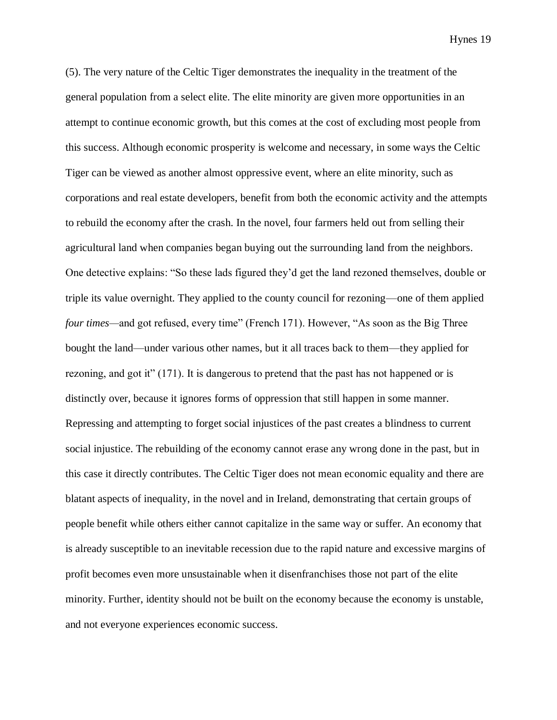(5). The very nature of the Celtic Tiger demonstrates the inequality in the treatment of the general population from a select elite. The elite minority are given more opportunities in an attempt to continue economic growth, but this comes at the cost of excluding most people from this success. Although economic prosperity is welcome and necessary, in some ways the Celtic Tiger can be viewed as another almost oppressive event, where an elite minority, such as corporations and real estate developers, benefit from both the economic activity and the attempts to rebuild the economy after the crash. In the novel, four farmers held out from selling their agricultural land when companies began buying out the surrounding land from the neighbors. One detective explains: "So these lads figured they'd get the land rezoned themselves, double or triple its value overnight. They applied to the county council for rezoning—one of them applied *four times—*and got refused, every time" (French 171). However, "As soon as the Big Three bought the land—under various other names, but it all traces back to them—they applied for rezoning, and got it" (171). It is dangerous to pretend that the past has not happened or is distinctly over, because it ignores forms of oppression that still happen in some manner. Repressing and attempting to forget social injustices of the past creates a blindness to current social injustice. The rebuilding of the economy cannot erase any wrong done in the past, but in this case it directly contributes. The Celtic Tiger does not mean economic equality and there are blatant aspects of inequality, in the novel and in Ireland, demonstrating that certain groups of people benefit while others either cannot capitalize in the same way or suffer. An economy that is already susceptible to an inevitable recession due to the rapid nature and excessive margins of profit becomes even more unsustainable when it disenfranchises those not part of the elite minority. Further, identity should not be built on the economy because the economy is unstable, and not everyone experiences economic success.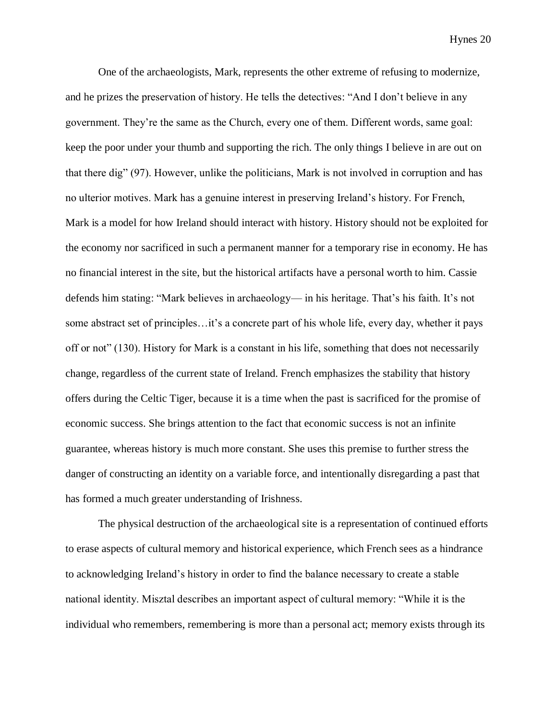One of the archaeologists, Mark, represents the other extreme of refusing to modernize, and he prizes the preservation of history. He tells the detectives: "And I don't believe in any government. They're the same as the Church, every one of them. Different words, same goal: keep the poor under your thumb and supporting the rich. The only things I believe in are out on that there dig" (97). However, unlike the politicians, Mark is not involved in corruption and has no ulterior motives. Mark has a genuine interest in preserving Ireland's history. For French, Mark is a model for how Ireland should interact with history. History should not be exploited for the economy nor sacrificed in such a permanent manner for a temporary rise in economy. He has no financial interest in the site, but the historical artifacts have a personal worth to him. Cassie defends him stating: "Mark believes in archaeology— in his heritage. That's his faith. It's not some abstract set of principles…it's a concrete part of his whole life, every day, whether it pays off or not" (130). History for Mark is a constant in his life, something that does not necessarily change, regardless of the current state of Ireland. French emphasizes the stability that history offers during the Celtic Tiger, because it is a time when the past is sacrificed for the promise of economic success. She brings attention to the fact that economic success is not an infinite guarantee, whereas history is much more constant. She uses this premise to further stress the danger of constructing an identity on a variable force, and intentionally disregarding a past that has formed a much greater understanding of Irishness.

The physical destruction of the archaeological site is a representation of continued efforts to erase aspects of cultural memory and historical experience, which French sees as a hindrance to acknowledging Ireland's history in order to find the balance necessary to create a stable national identity. Misztal describes an important aspect of cultural memory: "While it is the individual who remembers, remembering is more than a personal act; memory exists through its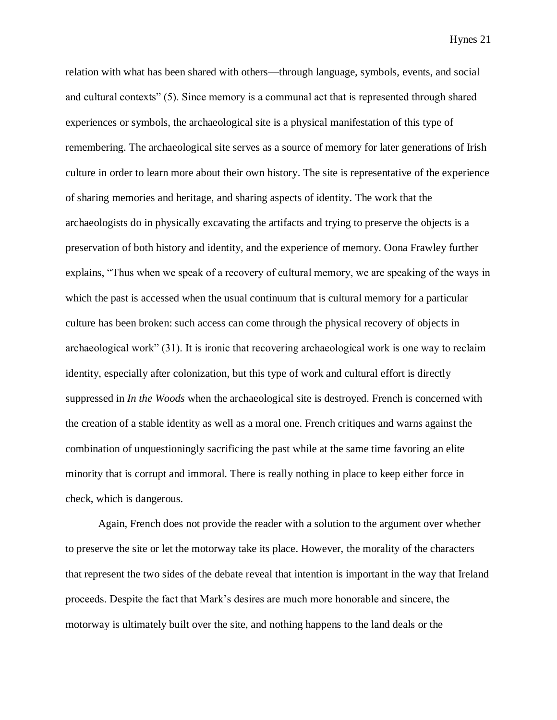relation with what has been shared with others—through language, symbols, events, and social and cultural contexts" (5). Since memory is a communal act that is represented through shared experiences or symbols, the archaeological site is a physical manifestation of this type of remembering. The archaeological site serves as a source of memory for later generations of Irish culture in order to learn more about their own history. The site is representative of the experience of sharing memories and heritage, and sharing aspects of identity. The work that the archaeologists do in physically excavating the artifacts and trying to preserve the objects is a preservation of both history and identity, and the experience of memory. Oona Frawley further explains, "Thus when we speak of a recovery of cultural memory, we are speaking of the ways in which the past is accessed when the usual continuum that is cultural memory for a particular culture has been broken: such access can come through the physical recovery of objects in archaeological work" (31). It is ironic that recovering archaeological work is one way to reclaim identity, especially after colonization, but this type of work and cultural effort is directly suppressed in *In the Woods* when the archaeological site is destroyed. French is concerned with the creation of a stable identity as well as a moral one. French critiques and warns against the combination of unquestioningly sacrificing the past while at the same time favoring an elite minority that is corrupt and immoral. There is really nothing in place to keep either force in check, which is dangerous.

Again, French does not provide the reader with a solution to the argument over whether to preserve the site or let the motorway take its place. However, the morality of the characters that represent the two sides of the debate reveal that intention is important in the way that Ireland proceeds. Despite the fact that Mark's desires are much more honorable and sincere, the motorway is ultimately built over the site, and nothing happens to the land deals or the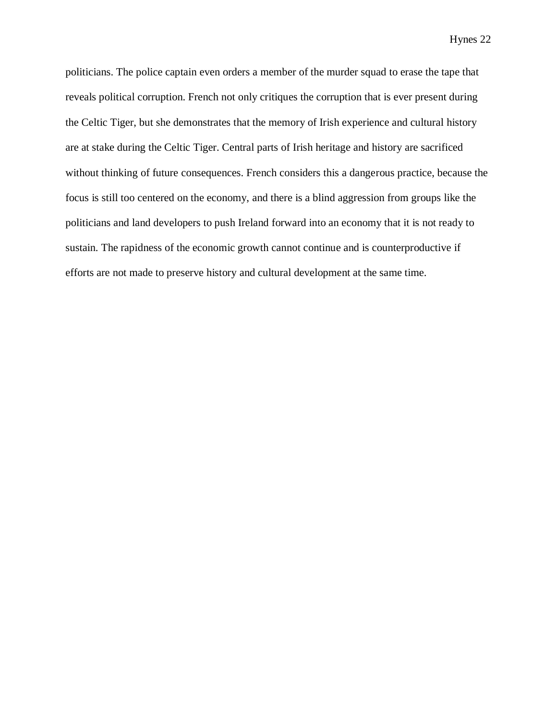politicians. The police captain even orders a member of the murder squad to erase the tape that reveals political corruption. French not only critiques the corruption that is ever present during the Celtic Tiger, but she demonstrates that the memory of Irish experience and cultural history are at stake during the Celtic Tiger. Central parts of Irish heritage and history are sacrificed without thinking of future consequences. French considers this a dangerous practice, because the focus is still too centered on the economy, and there is a blind aggression from groups like the politicians and land developers to push Ireland forward into an economy that it is not ready to sustain. The rapidness of the economic growth cannot continue and is counterproductive if efforts are not made to preserve history and cultural development at the same time.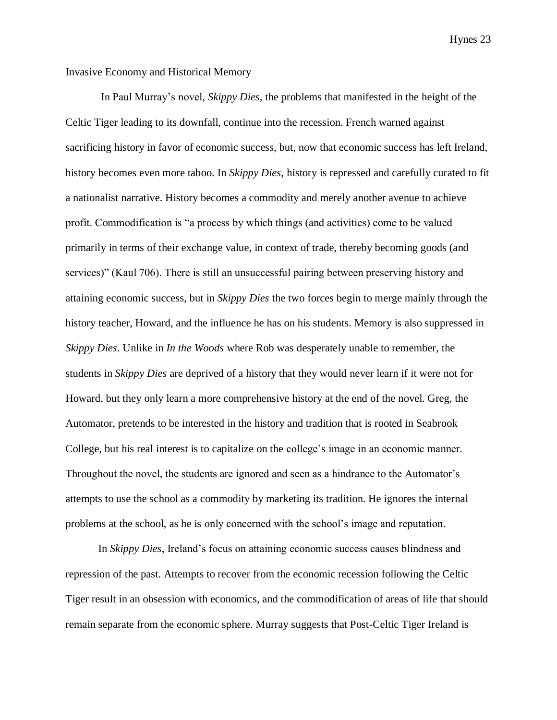# Invasive Economy and Historical Memory

In Paul Murray's novel, *Skippy Dies,* the problems that manifested in the height of the Celtic Tiger leading to its downfall, continue into the recession. French warned against sacrificing history in favor of economic success, but, now that economic success has left Ireland, history becomes even more taboo. In *Skippy Dies,* history is repressed and carefully curated to fit a nationalist narrative. History becomes a commodity and merely another avenue to achieve profit. Commodification is "a process by which things (and activities) come to be valued primarily in terms of their exchange value, in context of trade, thereby becoming goods (and services)" (Kaul 706). There is still an unsuccessful pairing between preserving history and attaining economic success, but in *Skippy Dies* the two forces begin to merge mainly through the history teacher, Howard, and the influence he has on his students. Memory is also suppressed in *Skippy Dies*. Unlike in *In the Woods* where Rob was desperately unable to remember, the students in *Skippy Dies* are deprived of a history that they would never learn if it were not for Howard, but they only learn a more comprehensive history at the end of the novel. Greg, the Automator, pretends to be interested in the history and tradition that is rooted in Seabrook College, but his real interest is to capitalize on the college's image in an economic manner. Throughout the novel, the students are ignored and seen as a hindrance to the Automator's attempts to use the school as a commodity by marketing its tradition. He ignores the internal problems at the school, as he is only concerned with the school's image and reputation.

In *Skippy Dies*, Ireland's focus on attaining economic success causes blindness and repression of the past. Attempts to recover from the economic recession following the Celtic Tiger result in an obsession with economics, and the commodification of areas of life that should remain separate from the economic sphere. Murray suggests that Post-Celtic Tiger Ireland is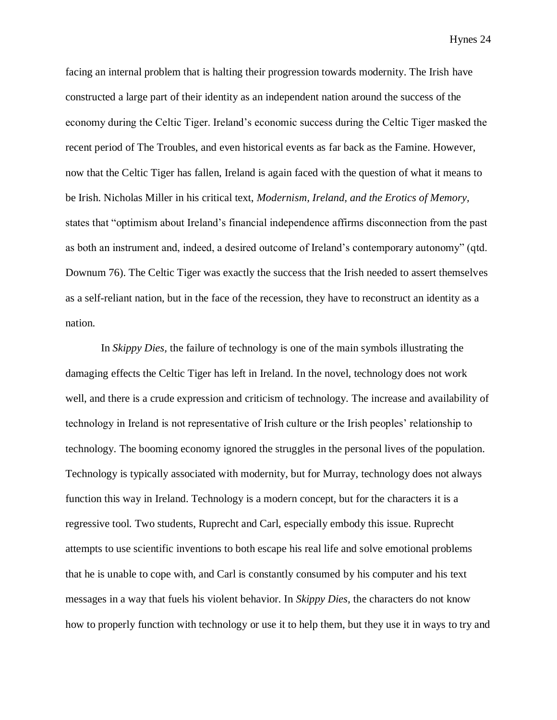facing an internal problem that is halting their progression towards modernity. The Irish have constructed a large part of their identity as an independent nation around the success of the economy during the Celtic Tiger. Ireland's economic success during the Celtic Tiger masked the recent period of The Troubles, and even historical events as far back as the Famine. However, now that the Celtic Tiger has fallen, Ireland is again faced with the question of what it means to be Irish. Nicholas Miller in his critical text, *Modernism, Ireland, and the Erotics of Memory,*  states that "optimism about Ireland's financial independence affirms disconnection from the past as both an instrument and, indeed, a desired outcome of Ireland's contemporary autonomy" (qtd. Downum 76). The Celtic Tiger was exactly the success that the Irish needed to assert themselves as a self-reliant nation, but in the face of the recession, they have to reconstruct an identity as a nation.

In *Skippy Dies,* the failure of technology is one of the main symbols illustrating the damaging effects the Celtic Tiger has left in Ireland. In the novel, technology does not work well, and there is a crude expression and criticism of technology. The increase and availability of technology in Ireland is not representative of Irish culture or the Irish peoples' relationship to technology. The booming economy ignored the struggles in the personal lives of the population. Technology is typically associated with modernity, but for Murray, technology does not always function this way in Ireland. Technology is a modern concept, but for the characters it is a regressive tool. Two students, Ruprecht and Carl, especially embody this issue. Ruprecht attempts to use scientific inventions to both escape his real life and solve emotional problems that he is unable to cope with, and Carl is constantly consumed by his computer and his text messages in a way that fuels his violent behavior. In *Skippy Dies,* the characters do not know how to properly function with technology or use it to help them, but they use it in ways to try and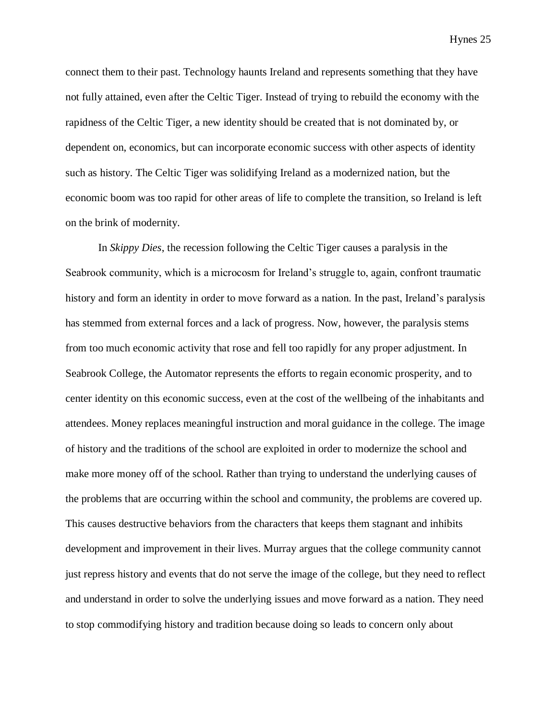connect them to their past. Technology haunts Ireland and represents something that they have not fully attained, even after the Celtic Tiger. Instead of trying to rebuild the economy with the rapidness of the Celtic Tiger, a new identity should be created that is not dominated by, or dependent on, economics, but can incorporate economic success with other aspects of identity such as history. The Celtic Tiger was solidifying Ireland as a modernized nation, but the economic boom was too rapid for other areas of life to complete the transition, so Ireland is left on the brink of modernity.

In *Skippy Dies*, the recession following the Celtic Tiger causes a paralysis in the Seabrook community, which is a microcosm for Ireland's struggle to, again, confront traumatic history and form an identity in order to move forward as a nation. In the past, Ireland's paralysis has stemmed from external forces and a lack of progress. Now, however, the paralysis stems from too much economic activity that rose and fell too rapidly for any proper adjustment. In Seabrook College, the Automator represents the efforts to regain economic prosperity, and to center identity on this economic success, even at the cost of the wellbeing of the inhabitants and attendees. Money replaces meaningful instruction and moral guidance in the college. The image of history and the traditions of the school are exploited in order to modernize the school and make more money off of the school. Rather than trying to understand the underlying causes of the problems that are occurring within the school and community, the problems are covered up. This causes destructive behaviors from the characters that keeps them stagnant and inhibits development and improvement in their lives. Murray argues that the college community cannot just repress history and events that do not serve the image of the college, but they need to reflect and understand in order to solve the underlying issues and move forward as a nation. They need to stop commodifying history and tradition because doing so leads to concern only about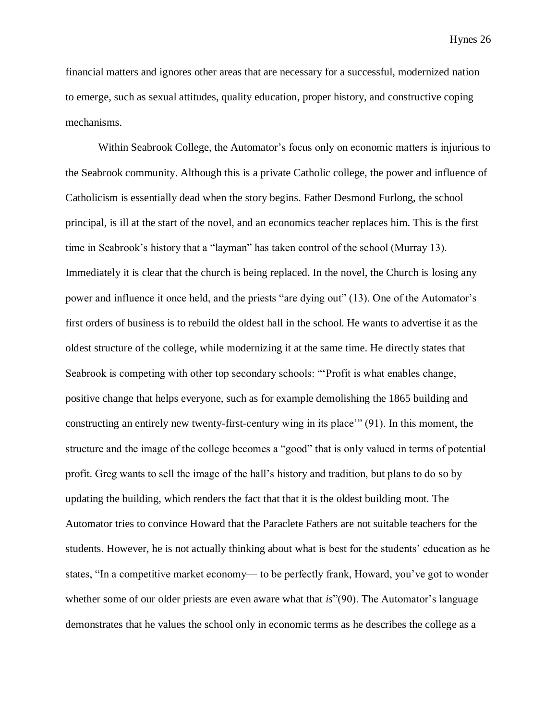financial matters and ignores other areas that are necessary for a successful, modernized nation to emerge, such as sexual attitudes, quality education, proper history, and constructive coping mechanisms.

Within Seabrook College, the Automator's focus only on economic matters is injurious to the Seabrook community. Although this is a private Catholic college, the power and influence of Catholicism is essentially dead when the story begins. Father Desmond Furlong, the school principal, is ill at the start of the novel, and an economics teacher replaces him. This is the first time in Seabrook's history that a "layman" has taken control of the school (Murray 13). Immediately it is clear that the church is being replaced. In the novel, the Church is losing any power and influence it once held, and the priests "are dying out" (13). One of the Automator's first orders of business is to rebuild the oldest hall in the school. He wants to advertise it as the oldest structure of the college, while modernizing it at the same time. He directly states that Seabrook is competing with other top secondary schools: "'Profit is what enables change, positive change that helps everyone, such as for example demolishing the 1865 building and constructing an entirely new twenty-first-century wing in its place'" (91). In this moment, the structure and the image of the college becomes a "good" that is only valued in terms of potential profit. Greg wants to sell the image of the hall's history and tradition, but plans to do so by updating the building, which renders the fact that that it is the oldest building moot. The Automator tries to convince Howard that the Paraclete Fathers are not suitable teachers for the students. However, he is not actually thinking about what is best for the students' education as he states, "In a competitive market economy— to be perfectly frank, Howard, you've got to wonder whether some of our older priests are even aware what that *is*"(90). The Automator's language demonstrates that he values the school only in economic terms as he describes the college as a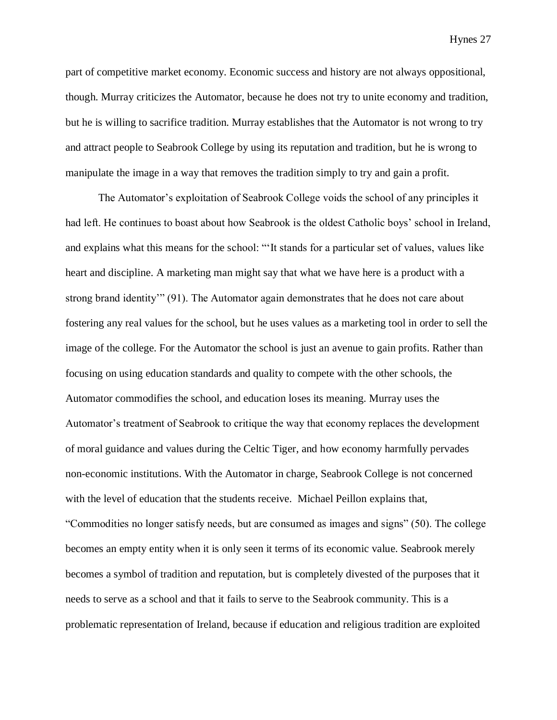part of competitive market economy. Economic success and history are not always oppositional, though. Murray criticizes the Automator, because he does not try to unite economy and tradition, but he is willing to sacrifice tradition. Murray establishes that the Automator is not wrong to try and attract people to Seabrook College by using its reputation and tradition, but he is wrong to manipulate the image in a way that removes the tradition simply to try and gain a profit.

The Automator's exploitation of Seabrook College voids the school of any principles it had left. He continues to boast about how Seabrook is the oldest Catholic boys' school in Ireland, and explains what this means for the school: "'It stands for a particular set of values, values like heart and discipline. A marketing man might say that what we have here is a product with a strong brand identity'" (91). The Automator again demonstrates that he does not care about fostering any real values for the school, but he uses values as a marketing tool in order to sell the image of the college. For the Automator the school is just an avenue to gain profits. Rather than focusing on using education standards and quality to compete with the other schools, the Automator commodifies the school, and education loses its meaning. Murray uses the Automator's treatment of Seabrook to critique the way that economy replaces the development of moral guidance and values during the Celtic Tiger, and how economy harmfully pervades non-economic institutions. With the Automator in charge, Seabrook College is not concerned with the level of education that the students receive. Michael Peillon explains that, "Commodities no longer satisfy needs, but are consumed as images and signs" (50). The college becomes an empty entity when it is only seen it terms of its economic value. Seabrook merely becomes a symbol of tradition and reputation, but is completely divested of the purposes that it needs to serve as a school and that it fails to serve to the Seabrook community. This is a problematic representation of Ireland, because if education and religious tradition are exploited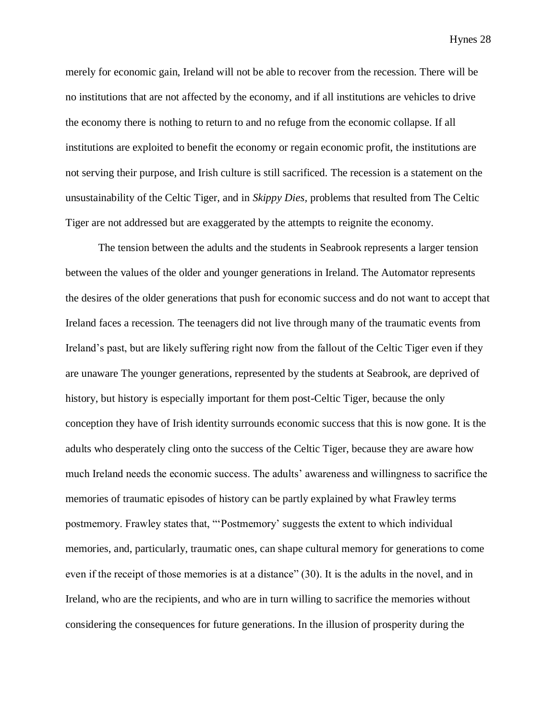merely for economic gain, Ireland will not be able to recover from the recession. There will be no institutions that are not affected by the economy, and if all institutions are vehicles to drive the economy there is nothing to return to and no refuge from the economic collapse. If all institutions are exploited to benefit the economy or regain economic profit, the institutions are not serving their purpose, and Irish culture is still sacrificed. The recession is a statement on the unsustainability of the Celtic Tiger, and in *Skippy Dies,* problems that resulted from The Celtic Tiger are not addressed but are exaggerated by the attempts to reignite the economy.

The tension between the adults and the students in Seabrook represents a larger tension between the values of the older and younger generations in Ireland. The Automator represents the desires of the older generations that push for economic success and do not want to accept that Ireland faces a recession. The teenagers did not live through many of the traumatic events from Ireland's past, but are likely suffering right now from the fallout of the Celtic Tiger even if they are unaware The younger generations, represented by the students at Seabrook, are deprived of history, but history is especially important for them post-Celtic Tiger, because the only conception they have of Irish identity surrounds economic success that this is now gone. It is the adults who desperately cling onto the success of the Celtic Tiger, because they are aware how much Ireland needs the economic success. The adults' awareness and willingness to sacrifice the memories of traumatic episodes of history can be partly explained by what Frawley terms postmemory. Frawley states that, "'Postmemory' suggests the extent to which individual memories, and, particularly, traumatic ones, can shape cultural memory for generations to come even if the receipt of those memories is at a distance" (30). It is the adults in the novel, and in Ireland, who are the recipients, and who are in turn willing to sacrifice the memories without considering the consequences for future generations. In the illusion of prosperity during the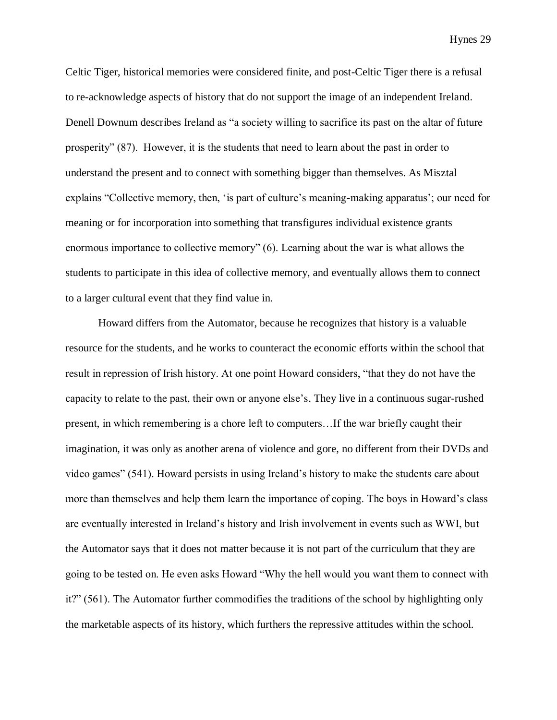Celtic Tiger, historical memories were considered finite, and post-Celtic Tiger there is a refusal to re-acknowledge aspects of history that do not support the image of an independent Ireland. Denell Downum describes Ireland as "a society willing to sacrifice its past on the altar of future prosperity" (87). However, it is the students that need to learn about the past in order to understand the present and to connect with something bigger than themselves. As Misztal explains "Collective memory, then, 'is part of culture's meaning-making apparatus'; our need for meaning or for incorporation into something that transfigures individual existence grants enormous importance to collective memory" (6). Learning about the war is what allows the students to participate in this idea of collective memory, and eventually allows them to connect to a larger cultural event that they find value in.

Howard differs from the Automator, because he recognizes that history is a valuable resource for the students, and he works to counteract the economic efforts within the school that result in repression of Irish history. At one point Howard considers, "that they do not have the capacity to relate to the past, their own or anyone else's. They live in a continuous sugar-rushed present, in which remembering is a chore left to computers…If the war briefly caught their imagination, it was only as another arena of violence and gore, no different from their DVDs and video games" (541). Howard persists in using Ireland's history to make the students care about more than themselves and help them learn the importance of coping. The boys in Howard's class are eventually interested in Ireland's history and Irish involvement in events such as WWI, but the Automator says that it does not matter because it is not part of the curriculum that they are going to be tested on. He even asks Howard "Why the hell would you want them to connect with it?" (561). The Automator further commodifies the traditions of the school by highlighting only the marketable aspects of its history, which furthers the repressive attitudes within the school.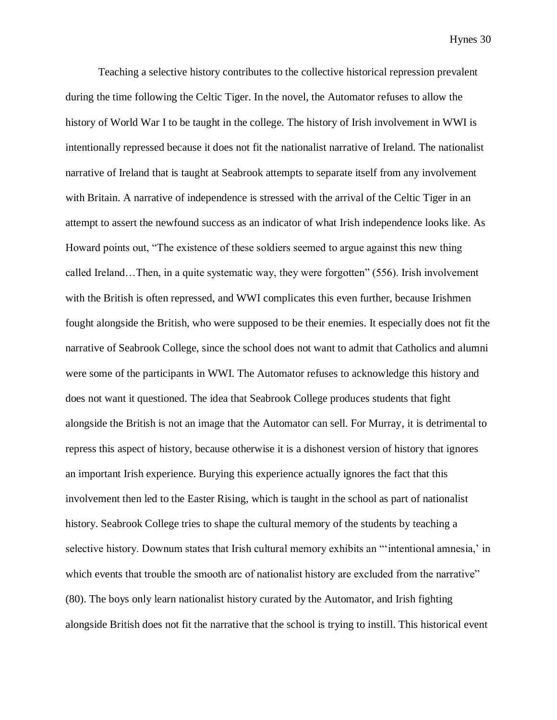Teaching a selective history contributes to the collective historical repression prevalent during the time following the Celtic Tiger. In the novel, the Automator refuses to allow the history of World War I to be taught in the college. The history of Irish involvement in WWI is intentionally repressed because it does not fit the nationalist narrative of Ireland. The nationalist narrative of Ireland that is taught at Seabrook attempts to separate itself from any involvement with Britain. A narrative of independence is stressed with the arrival of the Celtic Tiger in an attempt to assert the newfound success as an indicator of what Irish independence looks like. As Howard points out, "The existence of these soldiers seemed to argue against this new thing called Ireland…Then, in a quite systematic way, they were forgotten" (556). Irish involvement with the British is often repressed, and WWI complicates this even further, because Irishmen fought alongside the British, who were supposed to be their enemies. It especially does not fit the narrative of Seabrook College, since the school does not want to admit that Catholics and alumni were some of the participants in WWI. The Automator refuses to acknowledge this history and does not want it questioned. The idea that Seabrook College produces students that fight alongside the British is not an image that the Automator can sell. For Murray, it is detrimental to repress this aspect of history, because otherwise it is a dishonest version of history that ignores an important Irish experience. Burying this experience actually ignores the fact that this involvement then led to the Easter Rising, which is taught in the school as part of nationalist history. Seabrook College tries to shape the cultural memory of the students by teaching a selective history. Downum states that Irish cultural memory exhibits an ""intentional amnesia,' in which events that trouble the smooth arc of nationalist history are excluded from the narrative" (80). The boys only learn nationalist history curated by the Automator, and Irish fighting alongside British does not fit the narrative that the school is trying to instill. This historical event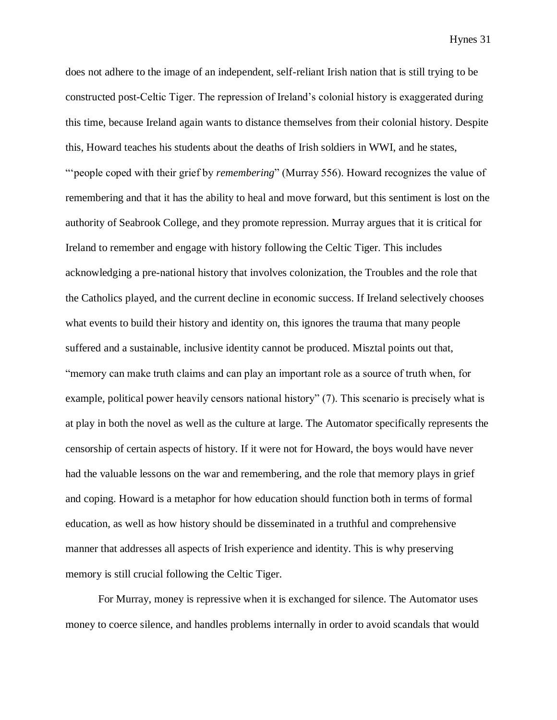does not adhere to the image of an independent, self-reliant Irish nation that is still trying to be constructed post-Celtic Tiger. The repression of Ireland's colonial history is exaggerated during this time, because Ireland again wants to distance themselves from their colonial history. Despite this, Howard teaches his students about the deaths of Irish soldiers in WWI, and he states, "'people coped with their grief by *remembering*" (Murray 556). Howard recognizes the value of remembering and that it has the ability to heal and move forward, but this sentiment is lost on the authority of Seabrook College, and they promote repression. Murray argues that it is critical for Ireland to remember and engage with history following the Celtic Tiger. This includes acknowledging a pre-national history that involves colonization, the Troubles and the role that the Catholics played, and the current decline in economic success. If Ireland selectively chooses what events to build their history and identity on, this ignores the trauma that many people suffered and a sustainable, inclusive identity cannot be produced. Misztal points out that, "memory can make truth claims and can play an important role as a source of truth when, for example, political power heavily censors national history" (7). This scenario is precisely what is at play in both the novel as well as the culture at large. The Automator specifically represents the censorship of certain aspects of history. If it were not for Howard, the boys would have never had the valuable lessons on the war and remembering, and the role that memory plays in grief and coping. Howard is a metaphor for how education should function both in terms of formal education, as well as how history should be disseminated in a truthful and comprehensive manner that addresses all aspects of Irish experience and identity. This is why preserving memory is still crucial following the Celtic Tiger.

For Murray, money is repressive when it is exchanged for silence. The Automator uses money to coerce silence, and handles problems internally in order to avoid scandals that would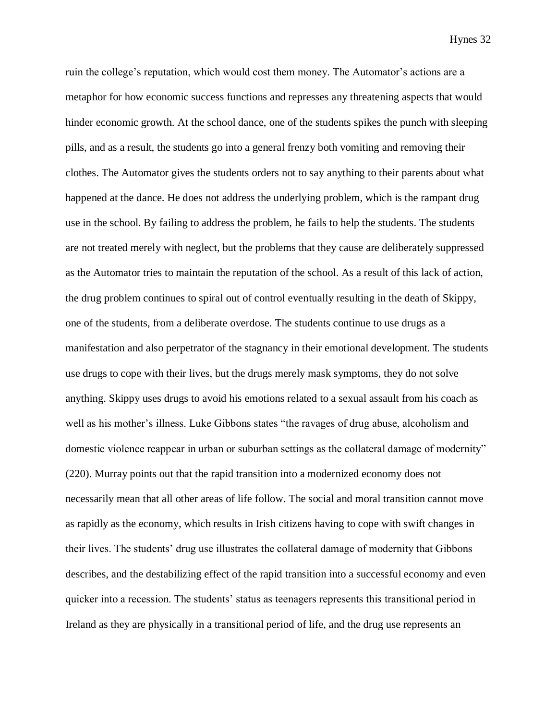ruin the college's reputation, which would cost them money. The Automator's actions are a metaphor for how economic success functions and represses any threatening aspects that would hinder economic growth. At the school dance, one of the students spikes the punch with sleeping pills, and as a result, the students go into a general frenzy both vomiting and removing their clothes. The Automator gives the students orders not to say anything to their parents about what happened at the dance. He does not address the underlying problem, which is the rampant drug use in the school. By failing to address the problem, he fails to help the students. The students are not treated merely with neglect, but the problems that they cause are deliberately suppressed as the Automator tries to maintain the reputation of the school. As a result of this lack of action, the drug problem continues to spiral out of control eventually resulting in the death of Skippy, one of the students, from a deliberate overdose. The students continue to use drugs as a manifestation and also perpetrator of the stagnancy in their emotional development. The students use drugs to cope with their lives, but the drugs merely mask symptoms, they do not solve anything. Skippy uses drugs to avoid his emotions related to a sexual assault from his coach as well as his mother's illness. Luke Gibbons states "the ravages of drug abuse, alcoholism and domestic violence reappear in urban or suburban settings as the collateral damage of modernity" (220). Murray points out that the rapid transition into a modernized economy does not necessarily mean that all other areas of life follow. The social and moral transition cannot move as rapidly as the economy, which results in Irish citizens having to cope with swift changes in their lives. The students' drug use illustrates the collateral damage of modernity that Gibbons describes, and the destabilizing effect of the rapid transition into a successful economy and even quicker into a recession. The students' status as teenagers represents this transitional period in Ireland as they are physically in a transitional period of life, and the drug use represents an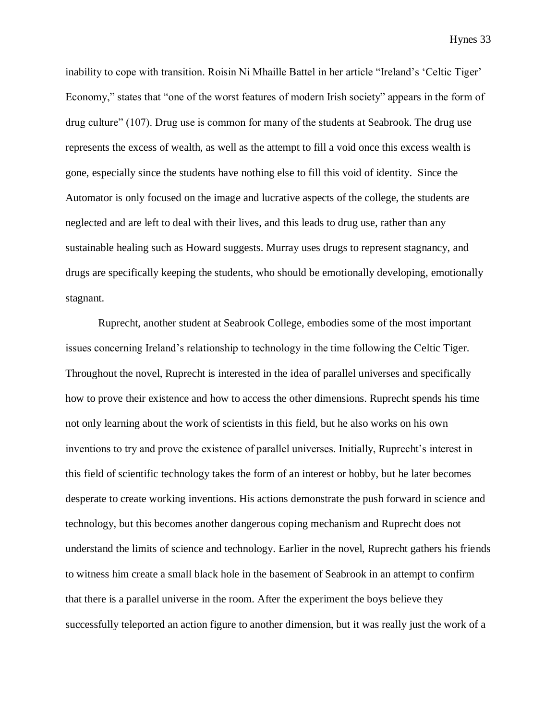inability to cope with transition. Roisin Ni Mhaille Battel in her article "Ireland's 'Celtic Tiger' Economy," states that "one of the worst features of modern Irish society" appears in the form of drug culture" (107). Drug use is common for many of the students at Seabrook. The drug use represents the excess of wealth, as well as the attempt to fill a void once this excess wealth is gone, especially since the students have nothing else to fill this void of identity. Since the Automator is only focused on the image and lucrative aspects of the college, the students are neglected and are left to deal with their lives, and this leads to drug use, rather than any sustainable healing such as Howard suggests. Murray uses drugs to represent stagnancy, and drugs are specifically keeping the students, who should be emotionally developing, emotionally stagnant.

Ruprecht, another student at Seabrook College, embodies some of the most important issues concerning Ireland's relationship to technology in the time following the Celtic Tiger. Throughout the novel, Ruprecht is interested in the idea of parallel universes and specifically how to prove their existence and how to access the other dimensions. Ruprecht spends his time not only learning about the work of scientists in this field, but he also works on his own inventions to try and prove the existence of parallel universes. Initially, Ruprecht's interest in this field of scientific technology takes the form of an interest or hobby, but he later becomes desperate to create working inventions. His actions demonstrate the push forward in science and technology, but this becomes another dangerous coping mechanism and Ruprecht does not understand the limits of science and technology. Earlier in the novel, Ruprecht gathers his friends to witness him create a small black hole in the basement of Seabrook in an attempt to confirm that there is a parallel universe in the room. After the experiment the boys believe they successfully teleported an action figure to another dimension, but it was really just the work of a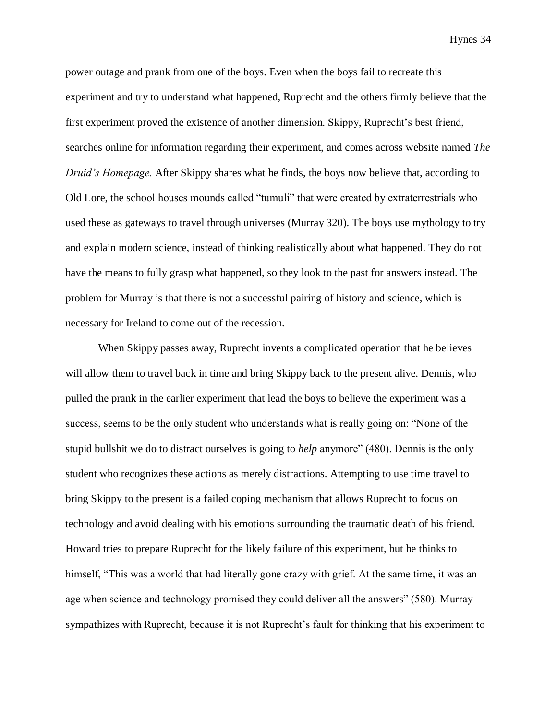power outage and prank from one of the boys. Even when the boys fail to recreate this experiment and try to understand what happened, Ruprecht and the others firmly believe that the first experiment proved the existence of another dimension. Skippy, Ruprecht's best friend, searches online for information regarding their experiment, and comes across website named *The Druid's Homepage.* After Skippy shares what he finds, the boys now believe that, according to Old Lore, the school houses mounds called "tumuli" that were created by extraterrestrials who used these as gateways to travel through universes (Murray 320). The boys use mythology to try and explain modern science, instead of thinking realistically about what happened. They do not have the means to fully grasp what happened, so they look to the past for answers instead. The problem for Murray is that there is not a successful pairing of history and science, which is necessary for Ireland to come out of the recession.

When Skippy passes away, Ruprecht invents a complicated operation that he believes will allow them to travel back in time and bring Skippy back to the present alive. Dennis, who pulled the prank in the earlier experiment that lead the boys to believe the experiment was a success, seems to be the only student who understands what is really going on: "None of the stupid bullshit we do to distract ourselves is going to *help* anymore" (480). Dennis is the only student who recognizes these actions as merely distractions. Attempting to use time travel to bring Skippy to the present is a failed coping mechanism that allows Ruprecht to focus on technology and avoid dealing with his emotions surrounding the traumatic death of his friend. Howard tries to prepare Ruprecht for the likely failure of this experiment, but he thinks to himself, "This was a world that had literally gone crazy with grief. At the same time, it was an age when science and technology promised they could deliver all the answers" (580). Murray sympathizes with Ruprecht, because it is not Ruprecht's fault for thinking that his experiment to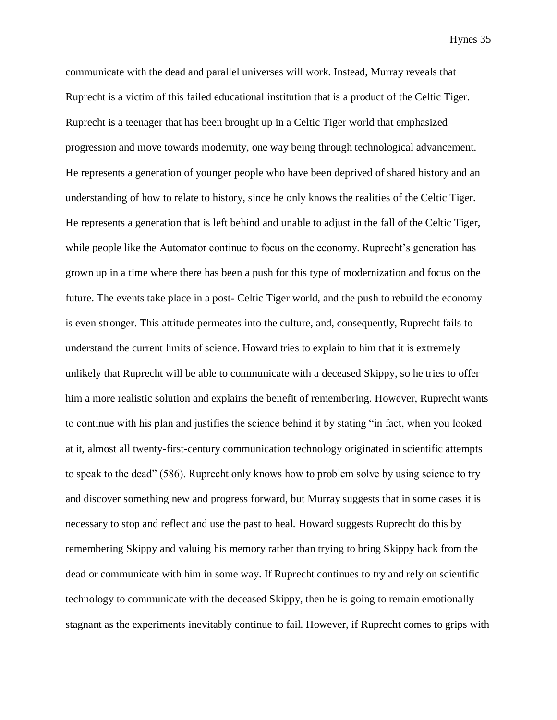communicate with the dead and parallel universes will work. Instead, Murray reveals that Ruprecht is a victim of this failed educational institution that is a product of the Celtic Tiger. Ruprecht is a teenager that has been brought up in a Celtic Tiger world that emphasized progression and move towards modernity, one way being through technological advancement. He represents a generation of younger people who have been deprived of shared history and an understanding of how to relate to history, since he only knows the realities of the Celtic Tiger. He represents a generation that is left behind and unable to adjust in the fall of the Celtic Tiger, while people like the Automator continue to focus on the economy. Ruprecht's generation has grown up in a time where there has been a push for this type of modernization and focus on the future. The events take place in a post- Celtic Tiger world, and the push to rebuild the economy is even stronger. This attitude permeates into the culture, and, consequently, Ruprecht fails to understand the current limits of science. Howard tries to explain to him that it is extremely unlikely that Ruprecht will be able to communicate with a deceased Skippy, so he tries to offer him a more realistic solution and explains the benefit of remembering. However, Ruprecht wants to continue with his plan and justifies the science behind it by stating "in fact, when you looked at it, almost all twenty-first-century communication technology originated in scientific attempts to speak to the dead" (586). Ruprecht only knows how to problem solve by using science to try and discover something new and progress forward, but Murray suggests that in some cases it is necessary to stop and reflect and use the past to heal. Howard suggests Ruprecht do this by remembering Skippy and valuing his memory rather than trying to bring Skippy back from the dead or communicate with him in some way. If Ruprecht continues to try and rely on scientific technology to communicate with the deceased Skippy, then he is going to remain emotionally stagnant as the experiments inevitably continue to fail. However, if Ruprecht comes to grips with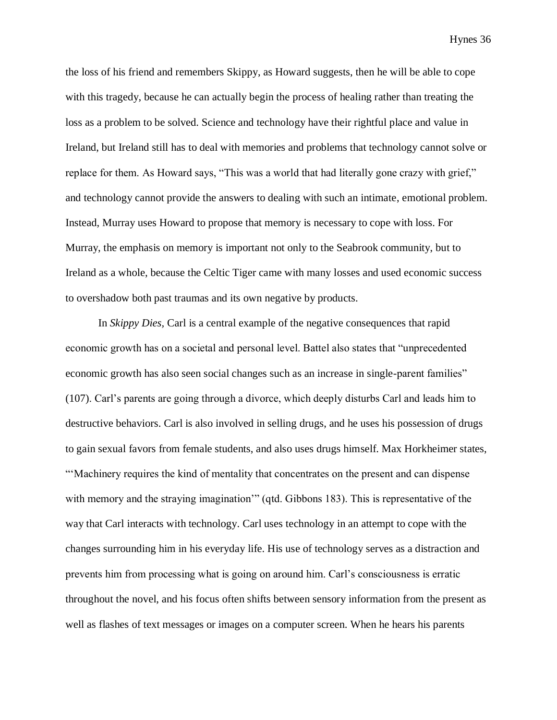the loss of his friend and remembers Skippy, as Howard suggests, then he will be able to cope with this tragedy, because he can actually begin the process of healing rather than treating the loss as a problem to be solved. Science and technology have their rightful place and value in Ireland, but Ireland still has to deal with memories and problems that technology cannot solve or replace for them. As Howard says, "This was a world that had literally gone crazy with grief," and technology cannot provide the answers to dealing with such an intimate, emotional problem. Instead, Murray uses Howard to propose that memory is necessary to cope with loss. For Murray, the emphasis on memory is important not only to the Seabrook community, but to Ireland as a whole, because the Celtic Tiger came with many losses and used economic success to overshadow both past traumas and its own negative by products.

In *Skippy Dies,* Carl is a central example of the negative consequences that rapid economic growth has on a societal and personal level. Battel also states that "unprecedented economic growth has also seen social changes such as an increase in single-parent families" (107). Carl's parents are going through a divorce, which deeply disturbs Carl and leads him to destructive behaviors. Carl is also involved in selling drugs, and he uses his possession of drugs to gain sexual favors from female students, and also uses drugs himself. Max Horkheimer states, "'Machinery requires the kind of mentality that concentrates on the present and can dispense with memory and the straying imagination'" (qtd. Gibbons 183). This is representative of the way that Carl interacts with technology. Carl uses technology in an attempt to cope with the changes surrounding him in his everyday life. His use of technology serves as a distraction and prevents him from processing what is going on around him. Carl's consciousness is erratic throughout the novel, and his focus often shifts between sensory information from the present as well as flashes of text messages or images on a computer screen. When he hears his parents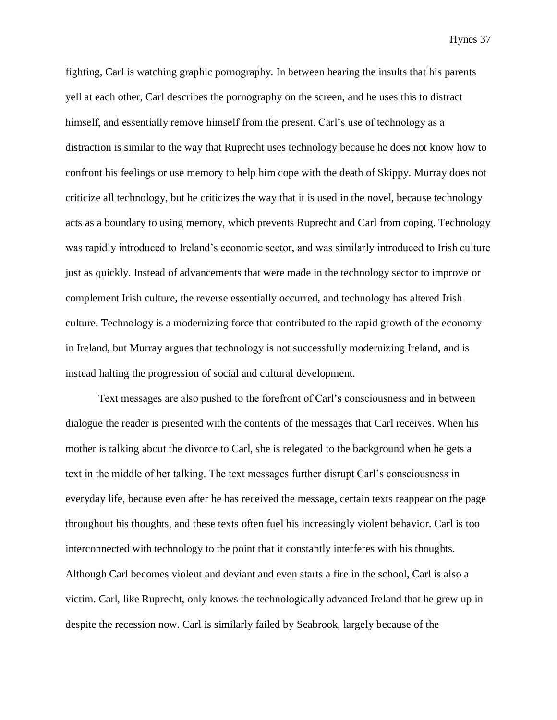fighting, Carl is watching graphic pornography. In between hearing the insults that his parents yell at each other, Carl describes the pornography on the screen, and he uses this to distract himself, and essentially remove himself from the present. Carl's use of technology as a distraction is similar to the way that Ruprecht uses technology because he does not know how to confront his feelings or use memory to help him cope with the death of Skippy. Murray does not criticize all technology, but he criticizes the way that it is used in the novel, because technology acts as a boundary to using memory, which prevents Ruprecht and Carl from coping. Technology was rapidly introduced to Ireland's economic sector, and was similarly introduced to Irish culture just as quickly. Instead of advancements that were made in the technology sector to improve or complement Irish culture, the reverse essentially occurred, and technology has altered Irish culture. Technology is a modernizing force that contributed to the rapid growth of the economy in Ireland, but Murray argues that technology is not successfully modernizing Ireland, and is instead halting the progression of social and cultural development.

Text messages are also pushed to the forefront of Carl's consciousness and in between dialogue the reader is presented with the contents of the messages that Carl receives. When his mother is talking about the divorce to Carl, she is relegated to the background when he gets a text in the middle of her talking. The text messages further disrupt Carl's consciousness in everyday life, because even after he has received the message, certain texts reappear on the page throughout his thoughts, and these texts often fuel his increasingly violent behavior. Carl is too interconnected with technology to the point that it constantly interferes with his thoughts. Although Carl becomes violent and deviant and even starts a fire in the school, Carl is also a victim. Carl, like Ruprecht, only knows the technologically advanced Ireland that he grew up in despite the recession now. Carl is similarly failed by Seabrook, largely because of the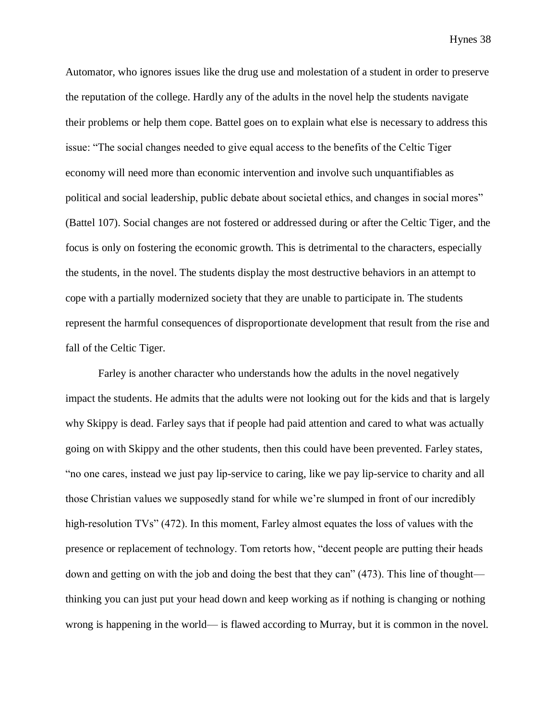Automator, who ignores issues like the drug use and molestation of a student in order to preserve the reputation of the college. Hardly any of the adults in the novel help the students navigate their problems or help them cope. Battel goes on to explain what else is necessary to address this issue: "The social changes needed to give equal access to the benefits of the Celtic Tiger economy will need more than economic intervention and involve such unquantifiables as political and social leadership, public debate about societal ethics, and changes in social mores" (Battel 107). Social changes are not fostered or addressed during or after the Celtic Tiger, and the focus is only on fostering the economic growth. This is detrimental to the characters, especially the students, in the novel. The students display the most destructive behaviors in an attempt to cope with a partially modernized society that they are unable to participate in. The students represent the harmful consequences of disproportionate development that result from the rise and fall of the Celtic Tiger.

Farley is another character who understands how the adults in the novel negatively impact the students. He admits that the adults were not looking out for the kids and that is largely why Skippy is dead. Farley says that if people had paid attention and cared to what was actually going on with Skippy and the other students, then this could have been prevented. Farley states, "no one cares, instead we just pay lip-service to caring, like we pay lip-service to charity and all those Christian values we supposedly stand for while we're slumped in front of our incredibly high-resolution TVs" (472). In this moment, Farley almost equates the loss of values with the presence or replacement of technology. Tom retorts how, "decent people are putting their heads down and getting on with the job and doing the best that they can" (473). This line of thought thinking you can just put your head down and keep working as if nothing is changing or nothing wrong is happening in the world— is flawed according to Murray, but it is common in the novel.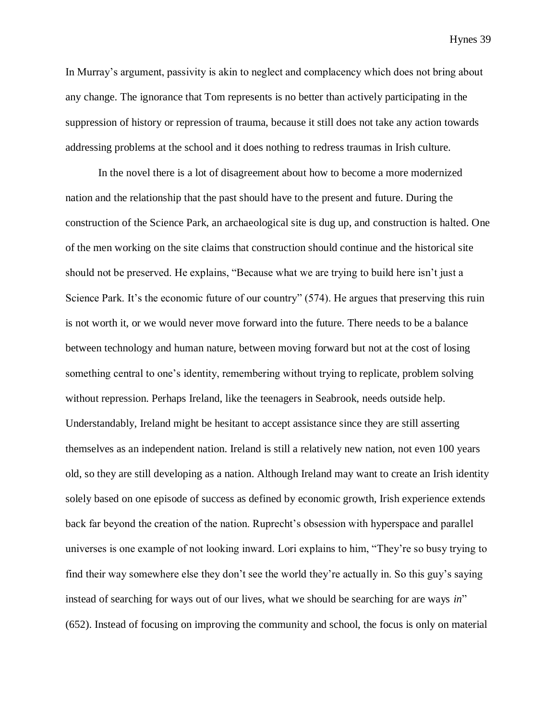In Murray's argument, passivity is akin to neglect and complacency which does not bring about any change. The ignorance that Tom represents is no better than actively participating in the suppression of history or repression of trauma, because it still does not take any action towards addressing problems at the school and it does nothing to redress traumas in Irish culture.

In the novel there is a lot of disagreement about how to become a more modernized nation and the relationship that the past should have to the present and future. During the construction of the Science Park, an archaeological site is dug up, and construction is halted. One of the men working on the site claims that construction should continue and the historical site should not be preserved. He explains, "Because what we are trying to build here isn't just a Science Park. It's the economic future of our country" (574). He argues that preserving this ruin is not worth it, or we would never move forward into the future. There needs to be a balance between technology and human nature, between moving forward but not at the cost of losing something central to one's identity, remembering without trying to replicate, problem solving without repression. Perhaps Ireland, like the teenagers in Seabrook, needs outside help. Understandably, Ireland might be hesitant to accept assistance since they are still asserting themselves as an independent nation. Ireland is still a relatively new nation, not even 100 years old, so they are still developing as a nation. Although Ireland may want to create an Irish identity solely based on one episode of success as defined by economic growth, Irish experience extends back far beyond the creation of the nation. Ruprecht's obsession with hyperspace and parallel universes is one example of not looking inward. Lori explains to him, "They're so busy trying to find their way somewhere else they don't see the world they're actually in. So this guy's saying instead of searching for ways out of our lives, what we should be searching for are ways *in*" (652). Instead of focusing on improving the community and school, the focus is only on material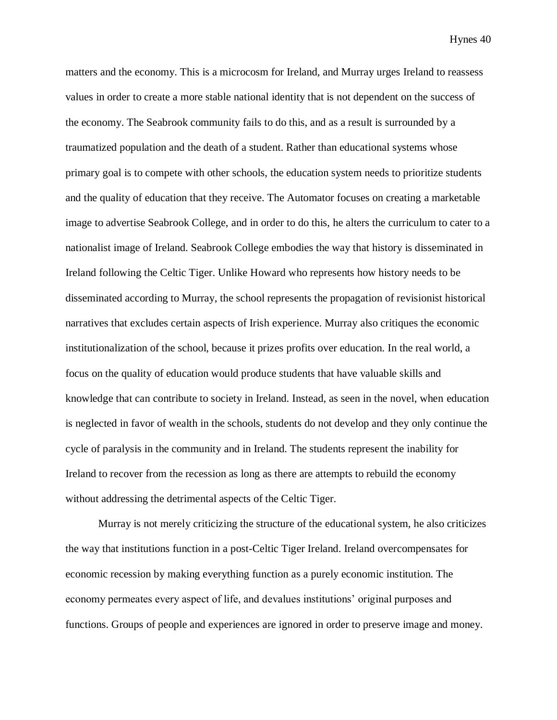matters and the economy. This is a microcosm for Ireland, and Murray urges Ireland to reassess values in order to create a more stable national identity that is not dependent on the success of the economy. The Seabrook community fails to do this, and as a result is surrounded by a traumatized population and the death of a student. Rather than educational systems whose primary goal is to compete with other schools, the education system needs to prioritize students and the quality of education that they receive. The Automator focuses on creating a marketable image to advertise Seabrook College, and in order to do this, he alters the curriculum to cater to a nationalist image of Ireland. Seabrook College embodies the way that history is disseminated in Ireland following the Celtic Tiger. Unlike Howard who represents how history needs to be disseminated according to Murray, the school represents the propagation of revisionist historical narratives that excludes certain aspects of Irish experience. Murray also critiques the economic institutionalization of the school, because it prizes profits over education. In the real world, a focus on the quality of education would produce students that have valuable skills and knowledge that can contribute to society in Ireland. Instead, as seen in the novel, when education is neglected in favor of wealth in the schools, students do not develop and they only continue the cycle of paralysis in the community and in Ireland. The students represent the inability for Ireland to recover from the recession as long as there are attempts to rebuild the economy without addressing the detrimental aspects of the Celtic Tiger.

Murray is not merely criticizing the structure of the educational system, he also criticizes the way that institutions function in a post-Celtic Tiger Ireland. Ireland overcompensates for economic recession by making everything function as a purely economic institution. The economy permeates every aspect of life, and devalues institutions' original purposes and functions. Groups of people and experiences are ignored in order to preserve image and money.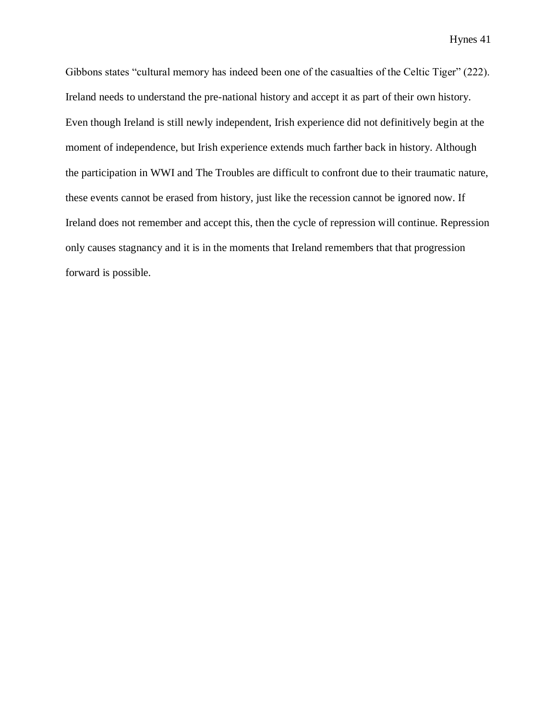Gibbons states "cultural memory has indeed been one of the casualties of the Celtic Tiger" (222). Ireland needs to understand the pre-national history and accept it as part of their own history. Even though Ireland is still newly independent, Irish experience did not definitively begin at the moment of independence, but Irish experience extends much farther back in history. Although the participation in WWI and The Troubles are difficult to confront due to their traumatic nature, these events cannot be erased from history, just like the recession cannot be ignored now. If Ireland does not remember and accept this, then the cycle of repression will continue. Repression only causes stagnancy and it is in the moments that Ireland remembers that that progression forward is possible.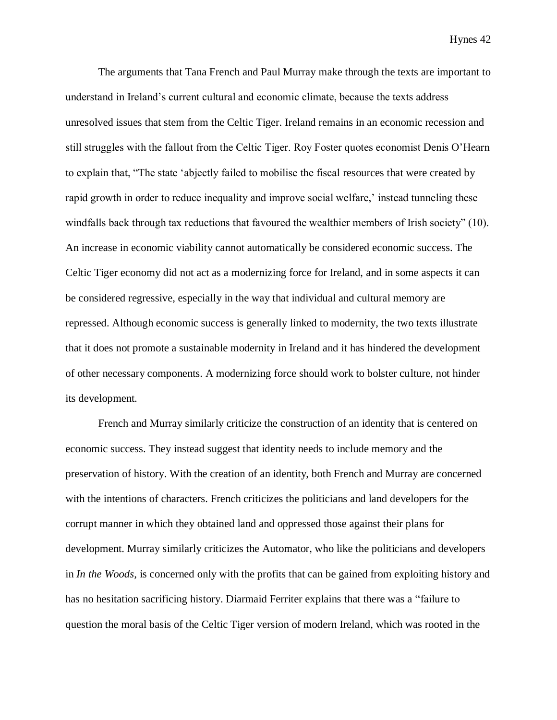The arguments that Tana French and Paul Murray make through the texts are important to understand in Ireland's current cultural and economic climate, because the texts address unresolved issues that stem from the Celtic Tiger. Ireland remains in an economic recession and still struggles with the fallout from the Celtic Tiger. Roy Foster quotes economist Denis O'Hearn to explain that, "The state 'abjectly failed to mobilise the fiscal resources that were created by rapid growth in order to reduce inequality and improve social welfare,' instead tunneling these windfalls back through tax reductions that favoured the wealthier members of Irish society" (10). An increase in economic viability cannot automatically be considered economic success. The Celtic Tiger economy did not act as a modernizing force for Ireland, and in some aspects it can be considered regressive, especially in the way that individual and cultural memory are repressed. Although economic success is generally linked to modernity, the two texts illustrate that it does not promote a sustainable modernity in Ireland and it has hindered the development of other necessary components. A modernizing force should work to bolster culture, not hinder its development.

French and Murray similarly criticize the construction of an identity that is centered on economic success. They instead suggest that identity needs to include memory and the preservation of history. With the creation of an identity, both French and Murray are concerned with the intentions of characters. French criticizes the politicians and land developers for the corrupt manner in which they obtained land and oppressed those against their plans for development. Murray similarly criticizes the Automator, who like the politicians and developers in *In the Woods,* is concerned only with the profits that can be gained from exploiting history and has no hesitation sacrificing history. Diarmaid Ferriter explains that there was a "failure to question the moral basis of the Celtic Tiger version of modern Ireland, which was rooted in the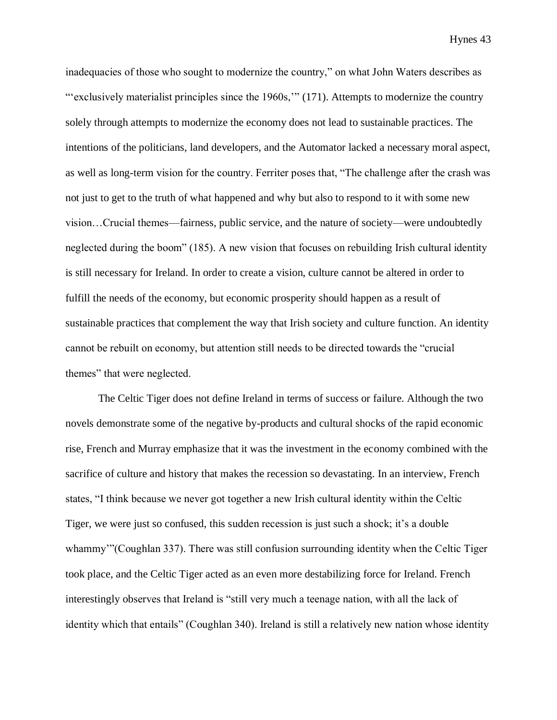inadequacies of those who sought to modernize the country," on what John Waters describes as "'exclusively materialist principles since the 1960s," (171). Attempts to modernize the country solely through attempts to modernize the economy does not lead to sustainable practices. The intentions of the politicians, land developers, and the Automator lacked a necessary moral aspect, as well as long-term vision for the country. Ferriter poses that, "The challenge after the crash was not just to get to the truth of what happened and why but also to respond to it with some new vision…Crucial themes—fairness, public service, and the nature of society—were undoubtedly neglected during the boom" (185). A new vision that focuses on rebuilding Irish cultural identity is still necessary for Ireland. In order to create a vision, culture cannot be altered in order to fulfill the needs of the economy, but economic prosperity should happen as a result of sustainable practices that complement the way that Irish society and culture function. An identity cannot be rebuilt on economy, but attention still needs to be directed towards the "crucial themes" that were neglected.

The Celtic Tiger does not define Ireland in terms of success or failure. Although the two novels demonstrate some of the negative by-products and cultural shocks of the rapid economic rise, French and Murray emphasize that it was the investment in the economy combined with the sacrifice of culture and history that makes the recession so devastating. In an interview, French states, "I think because we never got together a new Irish cultural identity within the Celtic Tiger, we were just so confused, this sudden recession is just such a shock; it's a double whammy'"(Coughlan 337). There was still confusion surrounding identity when the Celtic Tiger took place, and the Celtic Tiger acted as an even more destabilizing force for Ireland. French interestingly observes that Ireland is "still very much a teenage nation, with all the lack of identity which that entails" (Coughlan 340). Ireland is still a relatively new nation whose identity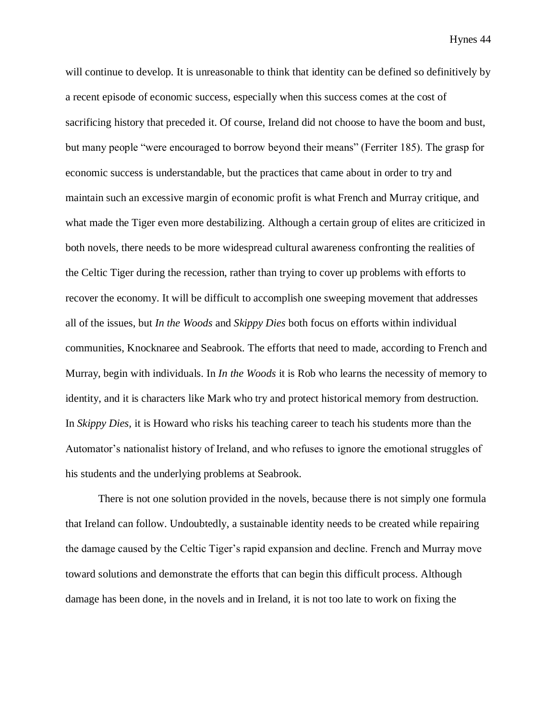will continue to develop. It is unreasonable to think that identity can be defined so definitively by a recent episode of economic success, especially when this success comes at the cost of sacrificing history that preceded it. Of course, Ireland did not choose to have the boom and bust, but many people "were encouraged to borrow beyond their means" (Ferriter 185). The grasp for economic success is understandable, but the practices that came about in order to try and maintain such an excessive margin of economic profit is what French and Murray critique, and what made the Tiger even more destabilizing. Although a certain group of elites are criticized in both novels, there needs to be more widespread cultural awareness confronting the realities of the Celtic Tiger during the recession, rather than trying to cover up problems with efforts to recover the economy. It will be difficult to accomplish one sweeping movement that addresses all of the issues, but *In the Woods* and *Skippy Dies* both focus on efforts within individual communities, Knocknaree and Seabrook. The efforts that need to made, according to French and Murray, begin with individuals. In *In the Woods* it is Rob who learns the necessity of memory to identity, and it is characters like Mark who try and protect historical memory from destruction. In *Skippy Dies,* it is Howard who risks his teaching career to teach his students more than the Automator's nationalist history of Ireland, and who refuses to ignore the emotional struggles of his students and the underlying problems at Seabrook.

There is not one solution provided in the novels, because there is not simply one formula that Ireland can follow. Undoubtedly, a sustainable identity needs to be created while repairing the damage caused by the Celtic Tiger's rapid expansion and decline. French and Murray move toward solutions and demonstrate the efforts that can begin this difficult process. Although damage has been done, in the novels and in Ireland, it is not too late to work on fixing the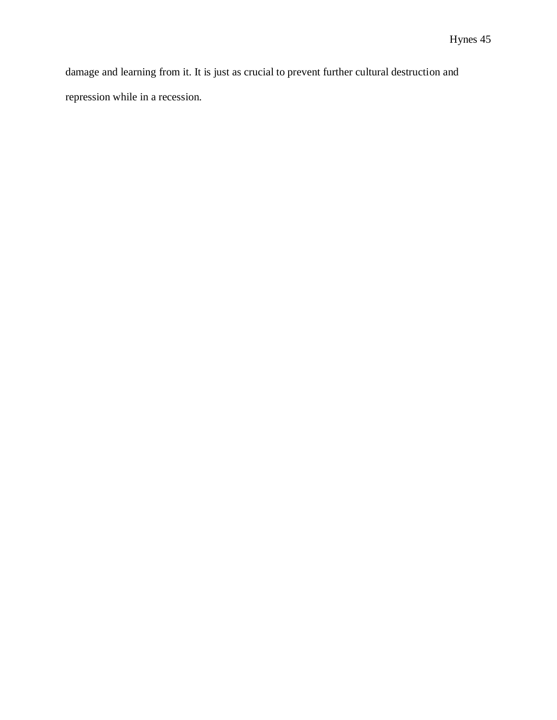damage and learning from it. It is just as crucial to prevent further cultural destruction and repression while in a recession.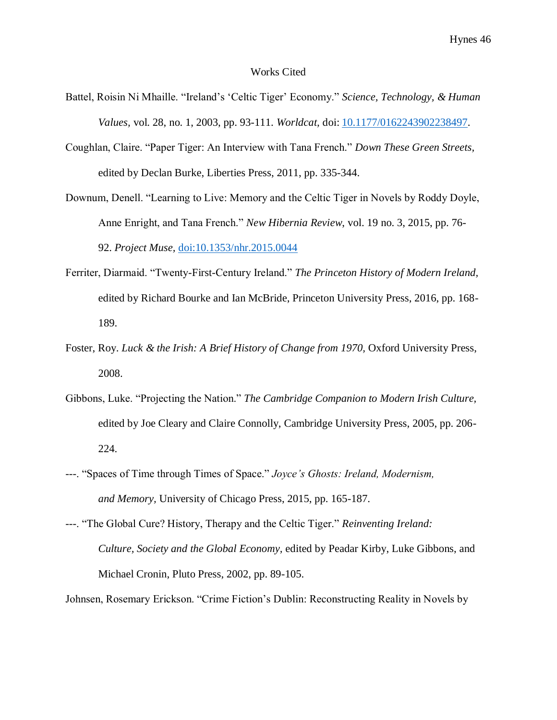#### Works Cited

- Battel, Roisin Ni Mhaille. "Ireland's 'Celtic Tiger' Economy." *Science, Technology, & Human Values,* vol. 28, no. 1, 2003, pp. 93-111. *Worldcat,* doi: [10.1177/0162243902238497.](http://dx.doi.org.libserv-prd.bridgew.edu/10.1177%2F0162243902238497)
- Coughlan, Claire. "Paper Tiger: An Interview with Tana French." *Down These Green Streets,*  edited by Declan Burke, Liberties Press, 2011, pp. 335-344.
- Downum, Denell. "Learning to Live: Memory and the Celtic Tiger in Novels by Roddy Doyle, Anne Enright, and Tana French." *New Hibernia Review*, vol. 19 no. 3, 2015, pp. 76- 92. *Project Muse,* [doi:10.1353/nhr.2015.0044](http://doi.org/10.1353/nhr.2015.0044)
- Ferriter, Diarmaid. "Twenty-First-Century Ireland." *The Princeton History of Modern Ireland,*  edited by Richard Bourke and Ian McBride, Princeton University Press, 2016, pp. 168- 189.
- Foster, Roy. *Luck & the Irish: A Brief History of Change from 1970*, Oxford University Press, 2008.
- Gibbons, Luke. "Projecting the Nation." *The Cambridge Companion to Modern Irish Culture,*  edited by Joe Cleary and Claire Connolly, Cambridge University Press, 2005, pp. 206- 224.
- ---. "Spaces of Time through Times of Space." *Joyce's Ghosts: Ireland, Modernism, and Memory,* University of Chicago Press, 2015, pp. 165-187.
- ---. "The Global Cure? History, Therapy and the Celtic Tiger." *Reinventing Ireland: Culture, Society and the Global Economy,* edited by Peadar Kirby, Luke Gibbons, and Michael Cronin, Pluto Press, 2002, pp. 89-105.

Johnsen, Rosemary Erickson. "Crime Fiction's Dublin: Reconstructing Reality in Novels by